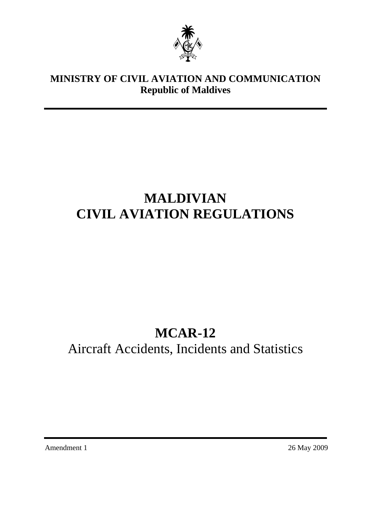

# **MINISTRY OF CIVIL AVIATION AND COMMUNICATION Republic of Maldives**

# **MALDIVIAN CIVIL AVIATION REGULATIONS**

# **MCAR-12**

Aircraft Accidents, Incidents and Statistics

Amendment 1 26 May 2009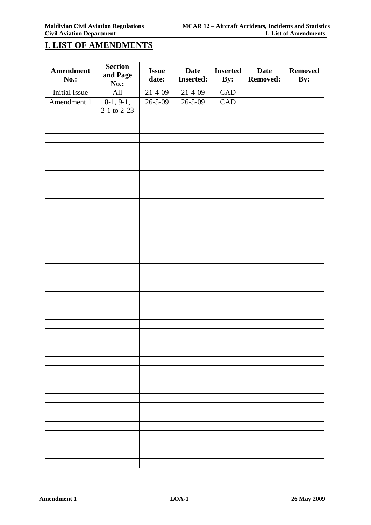# **I. LIST OF AMENDMENTS**

| Amendment<br>No.:    | <b>Section</b><br>and Page<br><b>No.:</b> | <b>Issue</b><br>date: | <b>Date</b><br><b>Inserted:</b> | <b>Inserted</b><br>By: | <b>Date</b><br><b>Removed:</b> | <b>Removed</b><br>By: |
|----------------------|-------------------------------------------|-----------------------|---------------------------------|------------------------|--------------------------------|-----------------------|
| <b>Initial Issue</b> | All                                       | $21 - 4 - 09$         | $21 - 4 - 09$                   | CAD                    |                                |                       |
| Amendment 1          | $\overline{8-1}$ , 9-1,<br>2-1 to 2-23    | $26 - 5 - 09$         | $26 - 5 - 09$                   | CAD                    |                                |                       |
|                      |                                           |                       |                                 |                        |                                |                       |
|                      |                                           |                       |                                 |                        |                                |                       |
|                      |                                           |                       |                                 |                        |                                |                       |
|                      |                                           |                       |                                 |                        |                                |                       |
|                      |                                           |                       |                                 |                        |                                |                       |
|                      |                                           |                       |                                 |                        |                                |                       |
|                      |                                           |                       |                                 |                        |                                |                       |
|                      |                                           |                       |                                 |                        |                                |                       |
|                      |                                           |                       |                                 |                        |                                |                       |
|                      |                                           |                       |                                 |                        |                                |                       |
|                      |                                           |                       |                                 |                        |                                |                       |
|                      |                                           |                       |                                 |                        |                                |                       |
|                      |                                           |                       |                                 |                        |                                |                       |
|                      |                                           |                       |                                 |                        |                                |                       |
|                      |                                           |                       |                                 |                        |                                |                       |
|                      |                                           |                       |                                 |                        |                                |                       |
|                      |                                           |                       |                                 |                        |                                |                       |
|                      |                                           |                       |                                 |                        |                                |                       |
|                      |                                           |                       |                                 |                        |                                |                       |
|                      |                                           |                       |                                 |                        |                                |                       |
|                      |                                           |                       |                                 |                        |                                |                       |
|                      |                                           |                       |                                 |                        |                                |                       |
|                      |                                           |                       |                                 |                        |                                |                       |
|                      |                                           |                       |                                 |                        |                                |                       |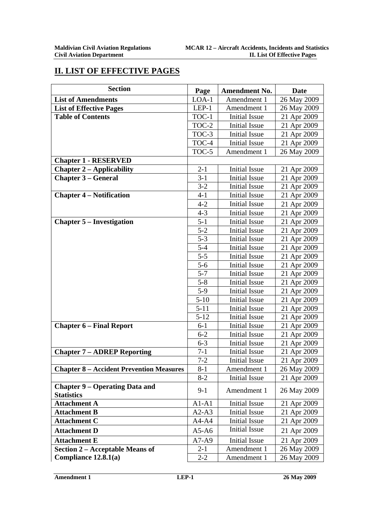# **II. LIST OF EFFECTIVE PAGES**

| <b>Section</b>                                             | Page     | <b>Amendment No.</b> | Date        |
|------------------------------------------------------------|----------|----------------------|-------------|
| <b>List of Amendments</b>                                  | $LOA-1$  | Amendment 1          | 26 May 2009 |
| <b>List of Effective Pages</b>                             | LEP-1    | Amendment 1          | 26 May 2009 |
| <b>Table of Contents</b>                                   | TOC-1    | <b>Initial Issue</b> | 21 Apr 2009 |
|                                                            | $TOC-2$  | <b>Initial Issue</b> | 21 Apr 2009 |
|                                                            | TOC-3    | <b>Initial Issue</b> | 21 Apr 2009 |
|                                                            | TOC-4    | <b>Initial Issue</b> | 21 Apr 2009 |
|                                                            | TOC-5    | Amendment 1          | 26 May 2009 |
| <b>Chapter 1 - RESERVED</b>                                |          |                      |             |
| <b>Chapter 2 – Applicability</b>                           | $2 - 1$  | <b>Initial Issue</b> | 21 Apr 2009 |
| <b>Chapter 3 – General</b>                                 | $3 - 1$  | <b>Initial Issue</b> | 21 Apr 2009 |
|                                                            | $3 - 2$  | <b>Initial Issue</b> | 21 Apr 2009 |
| <b>Chapter 4 – Notification</b>                            | $4 - 1$  | <b>Initial Issue</b> | 21 Apr 2009 |
|                                                            | $4 - 2$  | <b>Initial Issue</b> | 21 Apr 2009 |
|                                                            | $4 - 3$  | <b>Initial Issue</b> | 21 Apr 2009 |
| <b>Chapter 5 – Investigation</b>                           | $5 - 1$  | <b>Initial Issue</b> | 21 Apr 2009 |
|                                                            | $5 - 2$  | <b>Initial Issue</b> | 21 Apr 2009 |
|                                                            | $5 - 3$  | <b>Initial Issue</b> | 21 Apr 2009 |
|                                                            | $5 - 4$  | <b>Initial Issue</b> | 21 Apr 2009 |
|                                                            | $5 - 5$  | <b>Initial Issue</b> | 21 Apr 2009 |
|                                                            | $5 - 6$  | <b>Initial Issue</b> | 21 Apr 2009 |
|                                                            | $5 - 7$  | <b>Initial Issue</b> | 21 Apr 2009 |
|                                                            | $5 - 8$  | <b>Initial Issue</b> | 21 Apr 2009 |
|                                                            | $5-9$    | <b>Initial Issue</b> | 21 Apr 2009 |
|                                                            | $5 - 10$ | <b>Initial Issue</b> | 21 Apr 2009 |
|                                                            | $5 - 11$ | <b>Initial Issue</b> | 21 Apr 2009 |
|                                                            | $5 - 12$ | <b>Initial Issue</b> | 21 Apr 2009 |
| <b>Chapter 6 – Final Report</b>                            | $6 - 1$  | <b>Initial Issue</b> | 21 Apr 2009 |
|                                                            | $6 - 2$  | <b>Initial Issue</b> | 21 Apr 2009 |
|                                                            | $6 - 3$  | <b>Initial Issue</b> | 21 Apr 2009 |
| <b>Chapter 7 - ADREP Reporting</b>                         | $7 - 1$  | <b>Initial Issue</b> | 21 Apr 2009 |
|                                                            | $7 - 2$  | <b>Initial Issue</b> | 21 Apr 2009 |
| <b>Chapter 8 – Accident Prevention Measures</b>            | $8 - 1$  | Amendment 1          | 26 May 2009 |
|                                                            | $8 - 2$  | <b>Initial Issue</b> | 21 Apr 2009 |
| <b>Chapter 9 – Operating Data and</b><br><b>Statistics</b> | $9-1$    | Amendment 1          | 26 May 2009 |
| <b>Attachment A</b>                                        | $A1-A1$  | <b>Initial Issue</b> | 21 Apr 2009 |
| <b>Attachment B</b>                                        | $A2-A3$  | <b>Initial Issue</b> | 21 Apr 2009 |
| <b>Attachment C</b>                                        | $A4-A4$  | Initial Issue        | 21 Apr 2009 |
| <b>Attachment D</b>                                        | $A5-A6$  | <b>Initial Issue</b> | 21 Apr 2009 |
| <b>Attachment E</b>                                        | $A7-A9$  | <b>Initial Issue</b> | 21 Apr 2009 |
| Section 2 – Acceptable Means of                            | $2 - 1$  | Amendment 1          | 26 May 2009 |
| Compliance 12.8.1(a)                                       | $2 - 2$  | Amendment 1          | 26 May 2009 |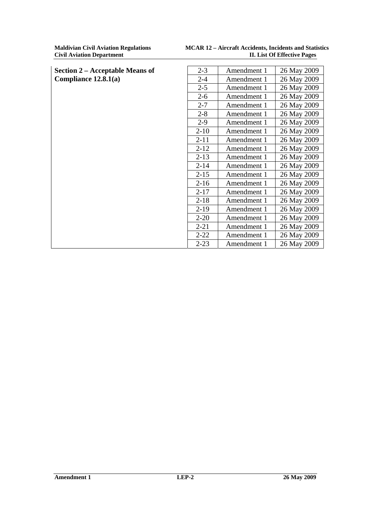| <b>Section 2 – Acceptable Means of</b> | $2 - 3$  | Amendment 1 | 26 May 2009 |
|----------------------------------------|----------|-------------|-------------|
| Compliance 12.8.1(a)                   | $2 - 4$  | Amendment 1 | 26 May 2009 |
|                                        | $2 - 5$  | Amendment 1 | 26 May 2009 |
|                                        | $2 - 6$  | Amendment 1 | 26 May 2009 |
|                                        | $2 - 7$  | Amendment 1 | 26 May 2009 |
|                                        | $2 - 8$  | Amendment 1 | 26 May 2009 |
|                                        | $2-9$    | Amendment 1 | 26 May 2009 |
|                                        | $2 - 10$ | Amendment 1 | 26 May 2009 |
|                                        | $2 - 11$ | Amendment 1 | 26 May 2009 |
|                                        | $2 - 12$ | Amendment 1 | 26 May 2009 |
|                                        | $2 - 13$ | Amendment 1 | 26 May 2009 |
|                                        | $2 - 14$ | Amendment 1 | 26 May 2009 |
|                                        | $2 - 15$ | Amendment 1 | 26 May 2009 |
|                                        | $2 - 16$ | Amendment 1 | 26 May 2009 |
|                                        | $2 - 17$ | Amendment 1 | 26 May 2009 |
|                                        | $2 - 18$ | Amendment 1 | 26 May 2009 |
|                                        | $2-19$   | Amendment 1 | 26 May 2009 |
|                                        | $2 - 20$ | Amendment 1 | 26 May 2009 |
|                                        | $2 - 21$ | Amendment 1 | 26 May 2009 |
|                                        | $2 - 22$ | Amendment 1 | 26 May 2009 |
|                                        | $2 - 23$ | Amendment 1 | 26 May 2009 |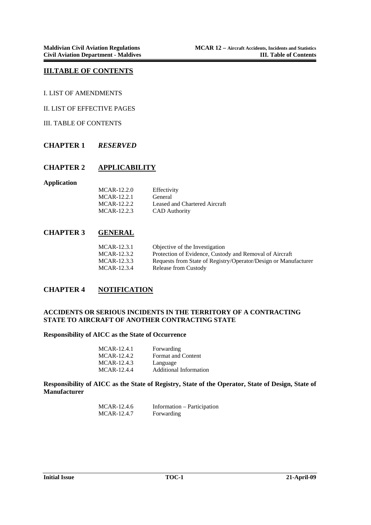#### **III.TABLE OF CONTENTS**

I. LIST OF AMENDMENTS

II. LIST OF EFFECTIVE PAGES

III. TABLE OF CONTENTS

#### **CHAPTER 1** *RESERVED*

#### **CHAPTER 2 APPLICABILITY**

**Application** 

| MCAR-12.2.0 | Effectivity                   |
|-------------|-------------------------------|
| MCAR-12.2.1 | General                       |
| MCAR-12.2.2 | Leased and Chartered Aircraft |
| MCAR-12.2.3 | <b>CAD</b> Authority          |

#### **CHAPTER 3 GENERAL**

| MCAR-12.3.1 | Objective of the Investigation                                  |
|-------------|-----------------------------------------------------------------|
| MCAR-12.3.2 | Protection of Evidence, Custody and Removal of Aircraft         |
| MCAR-12.3.3 | Requests from State of Registry/Operator/Design or Manufacturer |
| MCAR-12.3.4 | <b>Release from Custody</b>                                     |

### **CHAPTER 4 NOTIFICATION**

#### **ACCIDENTS OR SERIOUS INCIDENTS IN THE TERRITORY OF A CONTRACTING STATE TO AIRCRAFT OF ANOTHER CONTRACTING STATE**

#### **Responsibility of AICC as the State of Occurrence**

| MCAR-12.4.1 | Forwarding                    |
|-------------|-------------------------------|
| MCAR-12.4.2 | <b>Format and Content</b>     |
| MCAR-12.4.3 | Language                      |
| MCAR-12.4.4 | <b>Additional Information</b> |

**Responsibility of AICC as the State of Registry, State of the Operator, State of Design, State of Manufacturer** 

| MCAR-12.4.6 | Information – Participation |
|-------------|-----------------------------|
| MCAR-12.4.7 | Forwarding                  |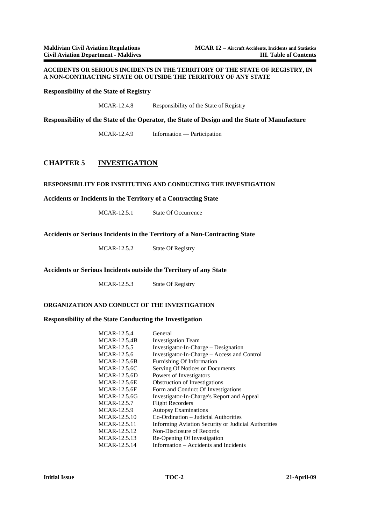#### **ACCIDENTS OR SERIOUS INCIDENTS IN THE TERRITORY OF THE STATE OF REGISTRY, IN A NON-CONTRACTING STATE OR OUTSIDE THE TERRITORY OF ANY STATE**

**Responsibility of the State of Registry** 

MCAR-12.4.8 Responsibility of the State of Registry

**Responsibility of the State of the Operator, the State of Design and the State of Manufacture** 

MCAR-12.4.9 Information — Participation

#### **CHAPTER 5 INVESTIGATION**

#### **RESPONSIBILITY FOR INSTITUTING AND CONDUCTING THE INVESTIGATION**

**Accidents or Incidents in the Territory of a Contracting State** 

MCAR-12.5.1 State Of Occurrence

**Accidents or Serious Incidents in the Territory of a Non-Contracting State** 

MCAR-12.5.2 State Of Registry

#### **Accidents or Serious Incidents outside the Territory of any State**

MCAR-12.5.3 State Of Registry

#### **ORGANIZATION AND CONDUCT OF THE INVESTIGATION**

#### **Responsibility of the State Conducting the Investigation**

| MCAR-12.5.4  | General                                             |
|--------------|-----------------------------------------------------|
| MCAR-12.5.4B | <b>Investigation Team</b>                           |
| MCAR-12.5.5  | Investigator-In-Charge – Designation                |
| MCAR-12.5.6  | Investigator-In-Charge – Access and Control         |
| MCAR-12.5.6B | Furnishing Of Information                           |
| MCAR-12.5.6C | Serving Of Notices or Documents                     |
| MCAR-12.5.6D | Powers of Investigators                             |
| MCAR-12.5.6E | <b>Obstruction of Investigations</b>                |
| MCAR-12.5.6F | Form and Conduct Of Investigations                  |
| MCAR-12.5.6G | Investigator-In-Charge's Report and Appeal          |
| MCAR-12.5.7  | <b>Flight Recorders</b>                             |
| MCAR-12.5.9  | <b>Autopsy Examinations</b>                         |
| MCAR-12.5.10 | Co-Ordination – Judicial Authorities                |
| MCAR-12.5.11 | Informing Aviation Security or Judicial Authorities |
| MCAR-12.5.12 | Non-Disclosure of Records                           |
| MCAR-12.5.13 | Re-Opening Of Investigation                         |
| MCAR-12.5.14 | Information – Accidents and Incidents               |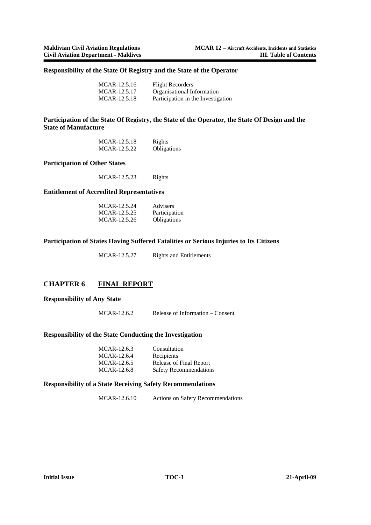#### **Responsibility of the State Of Registry and the State of the Operator**

| MCAR-12.5.16 | <b>Flight Recorders</b>            |
|--------------|------------------------------------|
| MCAR-12.5.17 | Organisational Information         |
| MCAR-12.5.18 | Participation in the Investigation |

#### **Participation of the State Of Registry, the State of the Operator, the State Of Design and the State of Manufacture**

| MCAR-12.5.18 | Rights             |
|--------------|--------------------|
| MCAR-12.5.22 | <b>Obligations</b> |

#### **Participation of Other States**

MCAR-12.5.23 Rights

#### **Entitlement of Accredited Representatives**

| MCAR-12.5.24 | <b>Advisers</b>    |
|--------------|--------------------|
| MCAR-12.5.25 | Participation      |
| MCAR-12.5.26 | <b>Obligations</b> |

#### **Participation of States Having Suffered Fatalities or Serious Injuries to Its Citizens**

MCAR-12.5.27 Rights and Entitlements

#### **CHAPTER 6 FINAL REPORT**

#### **Responsibility of Any State**

MCAR-12.6.2 Release of Information – Consent

#### **Responsibility of the State Conducting the Investigation**

| MCAR-12.6.3 | Consultation                  |
|-------------|-------------------------------|
| MCAR-12.6.4 | Recipients                    |
| MCAR-12.6.5 | Release of Final Report       |
| MCAR-12.6.8 | <b>Safety Recommendations</b> |

#### **Responsibility of a State Receiving Safety Recommendations**

MCAR-12.6.10 Actions on Safety Recommendations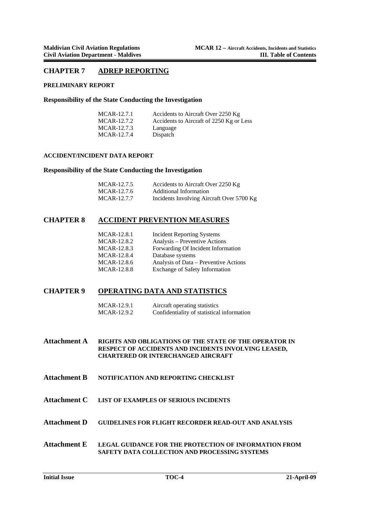#### **CHAPTER 7 ADREP REPORTING**

#### **PRELIMINARY REPORT**

#### **Responsibility of the State Conducting the Investigation**

| MCAR-12.7.1 | Accidents to Aircraft Over 2250 Kg       |
|-------------|------------------------------------------|
| MCAR-12.7.2 | Accidents to Aircraft of 2250 Kg or Less |
| MCAR-12.7.3 | Language                                 |
| MCAR-12.7.4 | Dispatch                                 |

#### **ACCIDENT/INCIDENT DATA REPORT**

#### **Responsibility of the State Conducting the Investigation**

| MCAR-12.7.5 | Accidents to Aircraft Over 2250 Kg        |
|-------------|-------------------------------------------|
| MCAR-12.7.6 | Additional Information                    |
| MCAR-12.7.7 | Incidents Involving Aircraft Over 5700 Kg |

#### **CHAPTER 8 ACCIDENT PREVENTION MEASURES**

| MCAR-12.8.1 | <b>Incident Reporting Systems</b>     |
|-------------|---------------------------------------|
| MCAR-12.8.2 | Analysis – Preventive Actions         |
| MCAR-12.8.3 | Forwarding Of Incident Information    |
| MCAR-12.8.4 | Database systems                      |
| MCAR-12.8.6 | Analysis of Data – Preventive Actions |
| MCAR-12.8.8 | <b>Exchange of Safety Information</b> |

### **CHAPTER 9 OPERATING DATA AND STATISTICS**

| MCAR-12.9.1 | Aircraft operating statistics              |
|-------------|--------------------------------------------|
| MCAR-12.9.2 | Confidentiality of statistical information |

**Attachment A RIGHTS AND OBLIGATIONS OF THE STATE OF THE OPERATOR IN RESPECT OF ACCIDENTS AND INCIDENTS INVOLVING LEASED, CHARTERED OR INTERCHANGED AIRCRAFT** 

- **Attachment B NOTIFICATION AND REPORTING CHECKLIST**
- **Attachment C LIST OF EXAMPLES OF SERIOUS INCIDENTS**
- **Attachment D GUIDELINES FOR FLIGHT RECORDER READ-OUT AND ANALYSIS**
- **Attachment E LEGAL GUIDANCE FOR THE PROTECTION OF INFORMATION FROM SAFETY DATA COLLECTION AND PROCESSING SYSTEMS**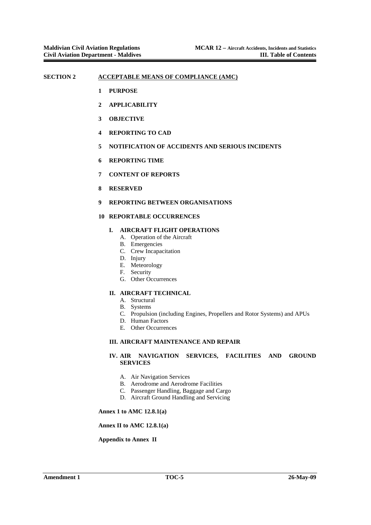#### SECTION 2 ACCEPTABLE MEANS OF COMPLIANCE (AMC)

- **1 PURPOSE**
- **2 APPLICABILITY**
- **3 OBJECTIVE**
- **4 REPORTING TO CAD**
- **5 NOTIFICATION OF ACCIDENTS AND SERIOUS INCIDENTS**
- **6 REPORTING TIME**
- **7 CONTENT OF REPORTS**
- **8 RESERVED**
- **9 REPORTING BETWEEN ORGANISATIONS**

#### **10 REPORTABLE OCCURRENCES**

#### **I. AIRCRAFT FLIGHT OPERATIONS**

- A. Operation of the Aircraft
- B. Emergencies
- C. Crew Incapacitation
- D. Injury
- E. Meteorology
- F. Security
- G. Other Occurrences

#### **II. AIRCRAFT TECHNICAL**

- A. Structural
- B. Systems
- C. Propulsion (including Engines, Propellers and Rotor Systems) and APUs
- D. Human Factors
- E. Other Occurrences

#### **III. AIRCRAFT MAINTENANCE AND REPAIR**

#### **IV. AIR NAVIGATION SERVICES, FACILITIES AND GROUND SERVICES**

- A. Air Navigation Services
- B. Aerodrome and Aerodrome Facilities
- C. Passenger Handling, Baggage and Cargo
- D. Aircraft Ground Handling and Servicing

#### **Annex 1 to AMC 12.8.1(a)**

#### **Annex II to AMC 12.8.1(a)**

#### **Appendix to Annex II**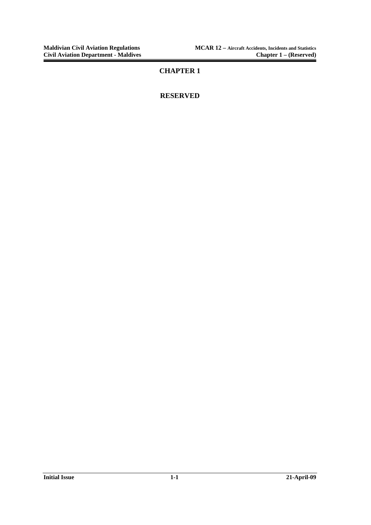### **CHAPTER 1**

### **RESERVED**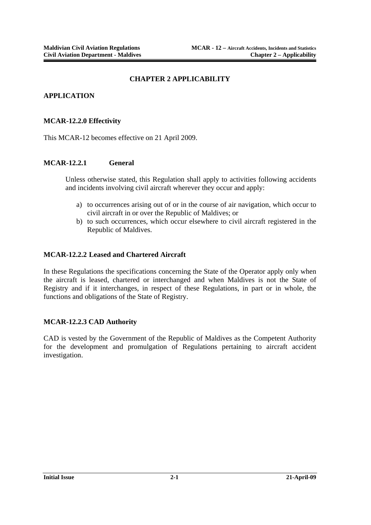#### **CHAPTER 2 APPLICABILITY**

### **APPLICATION**

#### **MCAR-12.2.0 Effectivity**

This MCAR-12 becomes effective on 21 April 2009.

#### **MCAR-12.2.1 General**

Unless otherwise stated, this Regulation shall apply to activities following accidents and incidents involving civil aircraft wherever they occur and apply:

- a) to occurrences arising out of or in the course of air navigation, which occur to civil aircraft in or over the Republic of Maldives; or
- b) to such occurrences, which occur elsewhere to civil aircraft registered in the Republic of Maldives.

#### **MCAR-12.2.2 Leased and Chartered Aircraft**

In these Regulations the specifications concerning the State of the Operator apply only when the aircraft is leased, chartered or interchanged and when Maldives is not the State of Registry and if it interchanges, in respect of these Regulations, in part or in whole, the functions and obligations of the State of Registry.

#### **MCAR-12.2.3 CAD Authority**

CAD is vested by the Government of the Republic of Maldives as the Competent Authority for the development and promulgation of Regulations pertaining to aircraft accident investigation.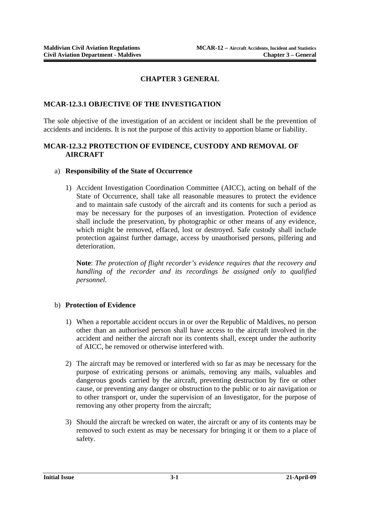### **CHAPTER 3 GENERAL**

### **MCAR-12.3.1 OBJECTIVE OF THE INVESTIGATION**

The sole objective of the investigation of an accident or incident shall be the prevention of accidents and incidents. It is not the purpose of this activity to apportion blame or liability.

#### **MCAR-12.3.2 PROTECTION OF EVIDENCE, CUSTODY AND REMOVAL OF AIRCRAFT**

#### a) **Responsibility of the State of Occurrence**

1) Accident Investigation Coordination Committee (AICC), acting on behalf of the State of Occurrence, shall take all reasonable measures to protect the evidence and to maintain safe custody of the aircraft and its contents for such a period as may be necessary for the purposes of an investigation. Protection of evidence shall include the preservation, by photographic or other means of any evidence, which might be removed, effaced, lost or destroyed. Safe custody shall include protection against further damage, access by unauthorised persons, pilfering and deterioration.

**Note**: *The protection of flight recorder's evidence requires that the recovery and handling of the recorder and its recordings be assigned only to qualified personnel.* 

#### b) **Protection of Evidence**

- 1) When a reportable accident occurs in or over the Republic of Maldives, no person other than an authorised person shall have access to the aircraft involved in the accident and neither the aircraft nor its contents shall, except under the authority of AICC, be removed or otherwise interfered with.
- 2) The aircraft may be removed or interfered with so far as may be necessary for the purpose of extricating persons or animals, removing any mails, valuables and dangerous goods carried by the aircraft, preventing destruction by fire or other cause, or preventing any danger or obstruction to the public or to air navigation or to other transport or, under the supervision of an Investigator, for the purpose of removing any other property from the aircraft;
- 3) Should the aircraft be wrecked on water, the aircraft or any of its contents may be removed to such extent as may be necessary for bringing it or them to a place of safety.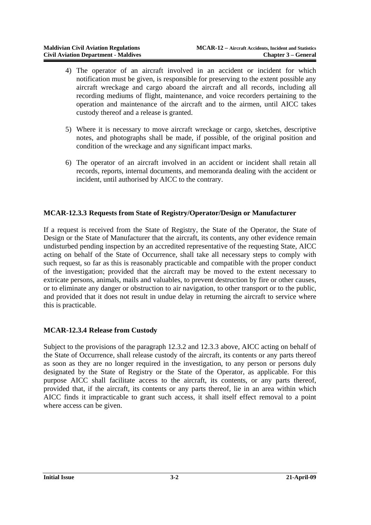- 4) The operator of an aircraft involved in an accident or incident for which notification must be given, is responsible for preserving to the extent possible any aircraft wreckage and cargo aboard the aircraft and all records, including all recording mediums of flight, maintenance, and voice recorders pertaining to the operation and maintenance of the aircraft and to the airmen, until AICC takes custody thereof and a release is granted.
- 5) Where it is necessary to move aircraft wreckage or cargo, sketches, descriptive notes, and photographs shall be made, if possible, of the original position and condition of the wreckage and any significant impact marks.
- 6) The operator of an aircraft involved in an accident or incident shall retain all records, reports, internal documents, and memoranda dealing with the accident or incident, until authorised by AICC to the contrary.

### **MCAR-12.3.3 Requests from State of Registry/Operator/Design or Manufacturer**

If a request is received from the State of Registry, the State of the Operator, the State of Design or the State of Manufacturer that the aircraft, its contents, any other evidence remain undisturbed pending inspection by an accredited representative of the requesting State, AICC acting on behalf of the State of Occurrence, shall take all necessary steps to comply with such request, so far as this is reasonably practicable and compatible with the proper conduct of the investigation; provided that the aircraft may be moved to the extent necessary to extricate persons, animals, mails and valuables, to prevent destruction by fire or other causes, or to eliminate any danger or obstruction to air navigation, to other transport or to the public, and provided that it does not result in undue delay in returning the aircraft to service where this is practicable.

#### **MCAR-12.3.4 Release from Custody**

Subject to the provisions of the paragraph 12.3.2 and 12.3.3 above, AICC acting on behalf of the State of Occurrence, shall release custody of the aircraft, its contents or any parts thereof as soon as they are no longer required in the investigation, to any person or persons duly designated by the State of Registry or the State of the Operator, as applicable. For this purpose AICC shall facilitate access to the aircraft, its contents, or any parts thereof, provided that, if the aircraft, its contents or any parts thereof, lie in an area within which AICC finds it impracticable to grant such access, it shall itself effect removal to a point where access can be given.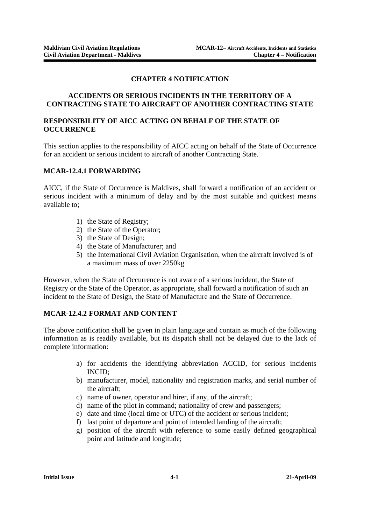### **CHAPTER 4 NOTIFICATION**

### **ACCIDENTS OR SERIOUS INCIDENTS IN THE TERRITORY OF A CONTRACTING STATE TO AIRCRAFT OF ANOTHER CONTRACTING STATE**

### **RESPONSIBILITY OF AICC ACTING ON BEHALF OF THE STATE OF OCCURRENCE**

This section applies to the responsibility of AICC acting on behalf of the State of Occurrence for an accident or serious incident to aircraft of another Contracting State.

### **MCAR-12.4.1 FORWARDING**

AICC, if the State of Occurrence is Maldives, shall forward a notification of an accident or serious incident with a minimum of delay and by the most suitable and quickest means available to;

- 1) the State of Registry;
- 2) the State of the Operator;
- 3) the State of Design;
- 4) the State of Manufacturer; and
- 5) the International Civil Aviation Organisation, when the aircraft involved is of a maximum mass of over 2250kg

However, when the State of Occurrence is not aware of a serious incident, the State of Registry or the State of the Operator, as appropriate, shall forward a notification of such an incident to the State of Design, the State of Manufacture and the State of Occurrence.

### **MCAR-12.4.2 FORMAT AND CONTENT**

The above notification shall be given in plain language and contain as much of the following information as is readily available, but its dispatch shall not be delayed due to the lack of complete information:

- a) for accidents the identifying abbreviation ACCID, for serious incidents INCID;
- b) manufacturer, model, nationality and registration marks, and serial number of the aircraft;
- c) name of owner, operator and hirer, if any, of the aircraft;
- d) name of the pilot in command; nationality of crew and passengers;
- e) date and time (local time or UTC) of the accident or serious incident;
- f) last point of departure and point of intended landing of the aircraft;
- g) position of the aircraft with reference to some easily defined geographical point and latitude and longitude;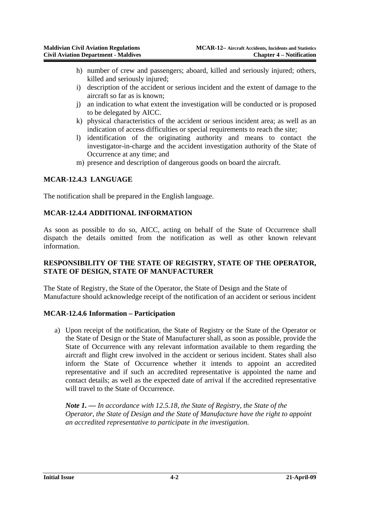- h) number of crew and passengers; aboard, killed and seriously injured; others, killed and seriously injured;
- i) description of the accident or serious incident and the extent of damage to the aircraft so far as is known;
- j) an indication to what extent the investigation will be conducted or is proposed to be delegated by AICC.
- k) physical characteristics of the accident or serious incident area; as well as an indication of access difficulties or special requirements to reach the site;
- l) identification of the originating authority and means to contact the investigator-in-charge and the accident investigation authority of the State of Occurrence at any time; and
- m) presence and description of dangerous goods on board the aircraft.

### **MCAR-12.4.3 LANGUAGE**

The notification shall be prepared in the English language.

#### **MCAR-12.4.4 ADDITIONAL INFORMATION**

As soon as possible to do so, AICC, acting on behalf of the State of Occurrence shall dispatch the details omitted from the notification as well as other known relevant information.

### **RESPONSIBILITY OF THE STATE OF REGISTRY, STATE OF THE OPERATOR, STATE OF DESIGN, STATE OF MANUFACTURER**

The State of Registry, the State of the Operator, the State of Design and the State of Manufacture should acknowledge receipt of the notification of an accident or serious incident

#### **MCAR-12.4.6 Information – Participation**

a) Upon receipt of the notification, the State of Registry or the State of the Operator or the State of Design or the State of Manufacturer shall, as soon as possible, provide the State of Occurrence with any relevant information available to them regarding the aircraft and flight crew involved in the accident or serious incident. States shall also inform the State of Occurrence whether it intends to appoint an accredited representative and if such an accredited representative is appointed the name and contact details; as well as the expected date of arrival if the accredited representative will travel to the State of Occurrence.

*Note 1. — In accordance with 12.5.18, the State of Registry, the State of the Operator, the State of Design and the State of Manufacture have the right to appoint an accredited representative to participate in the investigation.*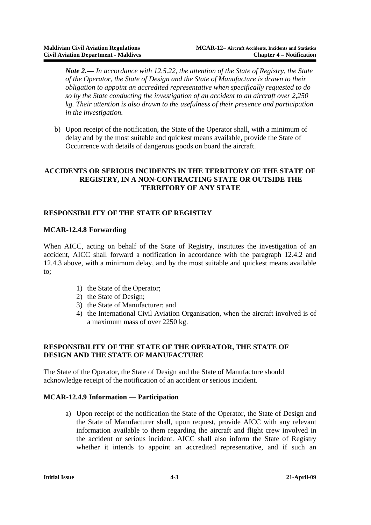*Note 2.— In accordance with 12.5.22, the attention of the State of Registry, the State of the Operator, the State of Design and the State of Manufacture is drawn to their obligation to appoint an accredited representative when specifically requested to do so by the State conducting the investigation of an accident to an aircraft over 2,250 kg. Their attention is also drawn to the usefulness of their presence and participation in the investigation.* 

b) Upon receipt of the notification, the State of the Operator shall, with a minimum of delay and by the most suitable and quickest means available, provide the State of Occurrence with details of dangerous goods on board the aircraft.

### **ACCIDENTS OR SERIOUS INCIDENTS IN THE TERRITORY OF THE STATE OF REGISTRY, IN A NON-CONTRACTING STATE OR OUTSIDE THE TERRITORY OF ANY STATE**

### **RESPONSIBILITY OF THE STATE OF REGISTRY**

### **MCAR-12.4.8 Forwarding**

When AICC, acting on behalf of the State of Registry, institutes the investigation of an accident, AICC shall forward a notification in accordance with the paragraph 12.4.2 and 12.4.3 above, with a minimum delay, and by the most suitable and quickest means available to;

- 1) the State of the Operator;
- 2) the State of Design;
- 3) the State of Manufacturer; and
- 4) the International Civil Aviation Organisation, when the aircraft involved is of a maximum mass of over 2250 kg.

### **RESPONSIBILITY OF THE STATE OF THE OPERATOR, THE STATE OF DESIGN AND THE STATE OF MANUFACTURE**

The State of the Operator, the State of Design and the State of Manufacture should acknowledge receipt of the notification of an accident or serious incident.

### **MCAR-12.4.9 Information — Participation**

a) Upon receipt of the notification the State of the Operator, the State of Design and the State of Manufacturer shall, upon request, provide AICC with any relevant information available to them regarding the aircraft and flight crew involved in the accident or serious incident. AICC shall also inform the State of Registry whether it intends to appoint an accredited representative, and if such an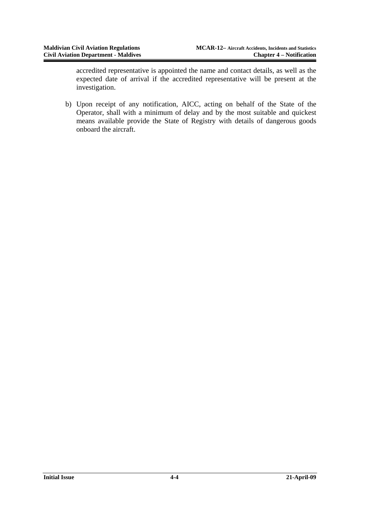accredited representative is appointed the name and contact details, as well as the expected date of arrival if the accredited representative will be present at the investigation.

b) Upon receipt of any notification, AICC, acting on behalf of the State of the Operator, shall with a minimum of delay and by the most suitable and quickest means available provide the State of Registry with details of dangerous goods onboard the aircraft.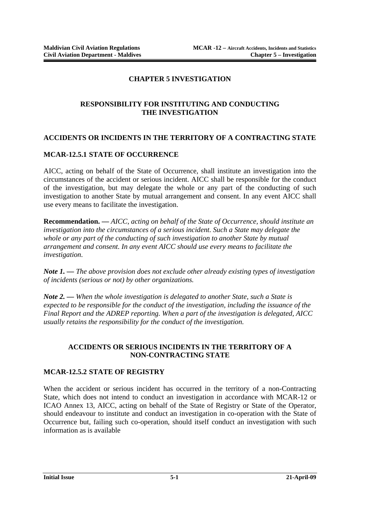### **CHAPTER 5 INVESTIGATION**

### **RESPONSIBILITY FOR INSTITUTING AND CONDUCTING THE INVESTIGATION**

### **ACCIDENTS OR INCIDENTS IN THE TERRITORY OF A CONTRACTING STATE**

#### **MCAR-12.5.1 STATE OF OCCURRENCE**

AICC, acting on behalf of the State of Occurrence, shall institute an investigation into the circumstances of the accident or serious incident. AICC shall be responsible for the conduct of the investigation, but may delegate the whole or any part of the conducting of such investigation to another State by mutual arrangement and consent. In any event AICC shall use every means to facilitate the investigation.

**Recommendation. —** *AICC, acting on behalf of the State of Occurrence, should institute an investigation into the circumstances of a serious incident. Such a State may delegate the whole or any part of the conducting of such investigation to another State by mutual arrangement and consent. In any event AICC should use every means to facilitate the investigation.* 

*Note 1. — The above provision does not exclude other already existing types of investigation of incidents (serious or not) by other organizations.* 

*Note 2. — When the whole investigation is delegated to another State, such a State is expected to be responsible for the conduct of the investigation, including the issuance of the Final Report and the ADREP reporting. When a part of the investigation is delegated, AICC usually retains the responsibility for the conduct of the investigation.*

#### **ACCIDENTS OR SERIOUS INCIDENTS IN THE TERRITORY OF A NON-CONTRACTING STATE**

#### **MCAR-12.5.2 STATE OF REGISTRY**

When the accident or serious incident has occurred in the territory of a non-Contracting State, which does not intend to conduct an investigation in accordance with MCAR-12 or ICAO Annex 13, AICC, acting on behalf of the State of Registry or State of the Operator, should endeavour to institute and conduct an investigation in co-operation with the State of Occurrence but, failing such co-operation, should itself conduct an investigation with such information as is available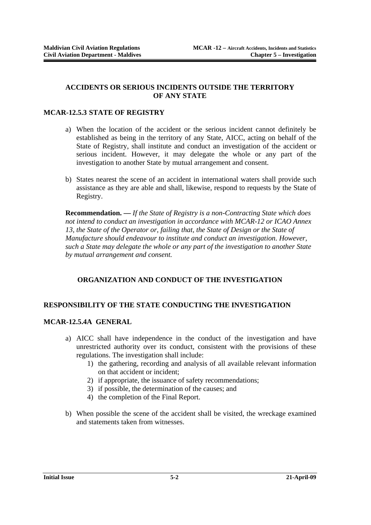#### **ACCIDENTS OR SERIOUS INCIDENTS OUTSIDE THE TERRITORY OF ANY STATE**

#### **MCAR-12.5.3 STATE OF REGISTRY**

- a) When the location of the accident or the serious incident cannot definitely be established as being in the territory of any State, AICC, acting on behalf of the State of Registry, shall institute and conduct an investigation of the accident or serious incident. However, it may delegate the whole or any part of the investigation to another State by mutual arrangement and consent.
- b) States nearest the scene of an accident in international waters shall provide such assistance as they are able and shall, likewise, respond to requests by the State of Registry.

**Recommendation. —** *If the State of Registry is a non-Contracting State which does not intend to conduct an investigation in accordance with MCAR-12 or ICAO Annex*  13, the State of the Operator or, failing that, the State of Design or the State of *Manufacture should endeavour to institute and conduct an investigation. However, such a State may delegate the whole or any part of the investigation to another State by mutual arrangement and consent.*

### **ORGANIZATION AND CONDUCT OF THE INVESTIGATION**

### **RESPONSIBILITY OF THE STATE CONDUCTING THE INVESTIGATION**

#### **MCAR-12.5.4A GENERAL**

- a) AICC shall have independence in the conduct of the investigation and have unrestricted authority over its conduct, consistent with the provisions of these regulations. The investigation shall include:
	- 1) the gathering, recording and analysis of all available relevant information on that accident or incident;
	- 2) if appropriate, the issuance of safety recommendations;
	- 3) if possible, the determination of the causes; and
	- 4) the completion of the Final Report.
- b) When possible the scene of the accident shall be visited, the wreckage examined and statements taken from witnesses.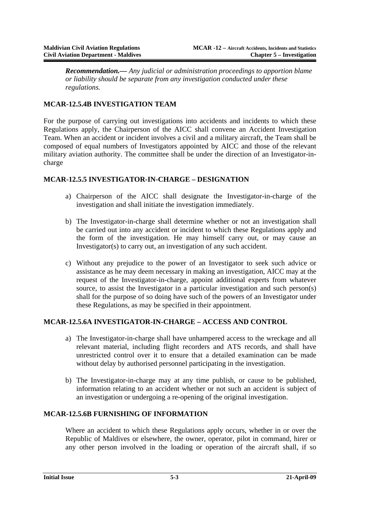*Recommendation.— Any judicial or administration proceedings to apportion blame or liability should be separate from any investigation conducted under these regulations.* 

### **MCAR-12.5.4B INVESTIGATION TEAM**

For the purpose of carrying out investigations into accidents and incidents to which these Regulations apply, the Chairperson of the AICC shall convene an Accident Investigation Team. When an accident or incident involves a civil and a military aircraft, the Team shall be composed of equal numbers of Investigators appointed by AICC and those of the relevant military aviation authority. The committee shall be under the direction of an Investigator-incharge

### **MCAR-12.5.5 INVESTIGATOR-IN-CHARGE – DESIGNATION**

- a) Chairperson of the AICC shall designate the Investigator-in-charge of the investigation and shall initiate the investigation immediately.
- b) The Investigator-in-charge shall determine whether or not an investigation shall be carried out into any accident or incident to which these Regulations apply and the form of the investigation. He may himself carry out, or may cause an Investigator(s) to carry out, an investigation of any such accident.
- c) Without any prejudice to the power of an Investigator to seek such advice or assistance as he may deem necessary in making an investigation, AICC may at the request of the Investigator-in-charge, appoint additional experts from whatever source, to assist the Investigator in a particular investigation and such person(s) shall for the purpose of so doing have such of the powers of an Investigator under these Regulations, as may be specified in their appointment.

### **MCAR-12.5.6A INVESTIGATOR-IN-CHARGE – ACCESS AND CONTROL**

- a) The Investigator-in-charge shall have unhampered access to the wreckage and all relevant material, including flight recorders and ATS records, and shall have unrestricted control over it to ensure that a detailed examination can be made without delay by authorised personnel participating in the investigation.
- b) The Investigator-in-charge may at any time publish, or cause to be published, information relating to an accident whether or not such an accident is subject of an investigation or undergoing a re-opening of the original investigation.

### **MCAR-12.5.6B FURNISHING OF INFORMATION**

Where an accident to which these Regulations apply occurs, whether in or over the Republic of Maldives or elsewhere, the owner, operator, pilot in command, hirer or any other person involved in the loading or operation of the aircraft shall, if so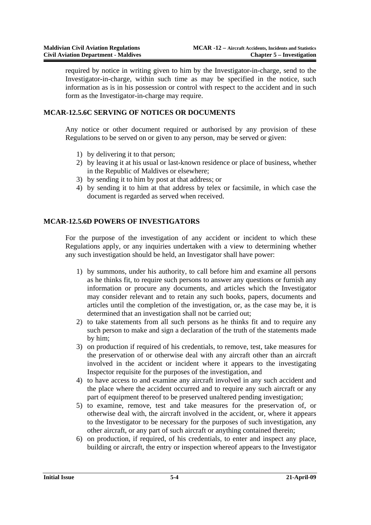required by notice in writing given to him by the Investigator-in-charge, send to the Investigator-in-charge, within such time as may be specified in the notice, such information as is in his possession or control with respect to the accident and in such form as the Investigator-in-charge may require.

#### **MCAR-12.5.6C SERVING OF NOTICES OR DOCUMENTS**

Any notice or other document required or authorised by any provision of these Regulations to be served on or given to any person, may be served or given:

- 1) by delivering it to that person;
- 2) by leaving it at his usual or last-known residence or place of business, whether in the Republic of Maldives or elsewhere;
- 3) by sending it to him by post at that address; or
- 4) by sending it to him at that address by telex or facsimile, in which case the document is regarded as served when received.

### **MCAR-12.5.6D POWERS OF INVESTIGATORS**

For the purpose of the investigation of any accident or incident to which these Regulations apply, or any inquiries undertaken with a view to determining whether any such investigation should be held, an Investigator shall have power:

- 1) by summons, under his authority, to call before him and examine all persons as he thinks fit, to require such persons to answer any questions or furnish any information or procure any documents, and articles which the Investigator may consider relevant and to retain any such books, papers, documents and articles until the completion of the investigation, or, as the case may be, it is determined that an investigation shall not be carried out;
- 2) to take statements from all such persons as he thinks fit and to require any such person to make and sign a declaration of the truth of the statements made by him;
- 3) on production if required of his credentials, to remove, test, take measures for the preservation of or otherwise deal with any aircraft other than an aircraft involved in the accident or incident where it appears to the investigating Inspector requisite for the purposes of the investigation, and
- 4) to have access to and examine any aircraft involved in any such accident and the place where the accident occurred and to require any such aircraft or any part of equipment thereof to be preserved unaltered pending investigation;
- 5) to examine, remove, test and take measures for the preservation of, or otherwise deal with, the aircraft involved in the accident, or, where it appears to the Investigator to be necessary for the purposes of such investigation, any other aircraft, or any part of such aircraft or anything contained therein;
- 6) on production, if required, of his credentials, to enter and inspect any place, building or aircraft, the entry or inspection whereof appears to the Investigator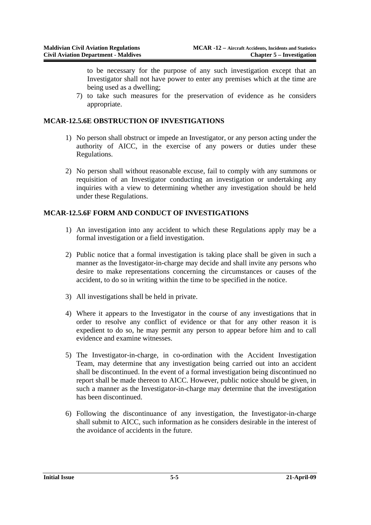to be necessary for the purpose of any such investigation except that an Investigator shall not have power to enter any premises which at the time are being used as a dwelling;

7) to take such measures for the preservation of evidence as he considers appropriate.

### **MCAR-12.5.6E OBSTRUCTION OF INVESTIGATIONS**

- 1) No person shall obstruct or impede an Investigator, or any person acting under the authority of AICC, in the exercise of any powers or duties under these Regulations.
- 2) No person shall without reasonable excuse, fail to comply with any summons or requisition of an Investigator conducting an investigation or undertaking any inquiries with a view to determining whether any investigation should be held under these Regulations.

### **MCAR-12.5.6F FORM AND CONDUCT OF INVESTIGATIONS**

- 1) An investigation into any accident to which these Regulations apply may be a formal investigation or a field investigation.
- 2) Public notice that a formal investigation is taking place shall be given in such a manner as the Investigator-in-charge may decide and shall invite any persons who desire to make representations concerning the circumstances or causes of the accident, to do so in writing within the time to be specified in the notice.
- 3) All investigations shall be held in private.
- 4) Where it appears to the Investigator in the course of any investigations that in order to resolve any conflict of evidence or that for any other reason it is expedient to do so, he may permit any person to appear before him and to call evidence and examine witnesses.
- 5) The Investigator-in-charge, in co-ordination with the Accident Investigation Team, may determine that any investigation being carried out into an accident shall be discontinued. In the event of a formal investigation being discontinued no report shall be made thereon to AICC. However, public notice should be given, in such a manner as the Investigator-in-charge may determine that the investigation has been discontinued.
- 6) Following the discontinuance of any investigation, the Investigator-in-charge shall submit to AICC, such information as he considers desirable in the interest of the avoidance of accidents in the future.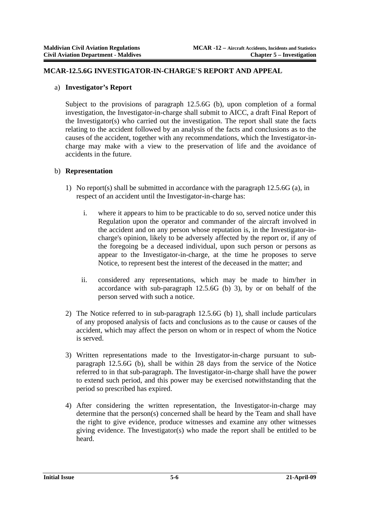#### **MCAR-12.5.6G INVESTIGATOR-IN-CHARGE'S REPORT AND APPEAL**

#### a) **Investigator's Report**

Subject to the provisions of paragraph 12.5.6G (b), upon completion of a formal investigation, the Investigator-in-charge shall submit to AICC, a draft Final Report of the Investigator(s) who carried out the investigation. The report shall state the facts relating to the accident followed by an analysis of the facts and conclusions as to the causes of the accident, together with any recommendations, which the Investigator-incharge may make with a view to the preservation of life and the avoidance of accidents in the future.

### b) **Representation**

- 1) No report(s) shall be submitted in accordance with the paragraph 12.5.6G (a), in respect of an accident until the Investigator-in-charge has:
	- i. where it appears to him to be practicable to do so, served notice under this Regulation upon the operator and commander of the aircraft involved in the accident and on any person whose reputation is, in the Investigator-incharge's opinion, likely to be adversely affected by the report or, if any of the foregoing be a deceased individual, upon such person or persons as appear to the Investigator-in-charge, at the time he proposes to serve Notice, to represent best the interest of the deceased in the matter; and
	- ii. considered any representations, which may be made to him/her in accordance with sub-paragraph 12.5.6G (b) 3), by or on behalf of the person served with such a notice.
- 2) The Notice referred to in sub-paragraph 12.5.6G (b) 1), shall include particulars of any proposed analysis of facts and conclusions as to the cause or causes of the accident, which may affect the person on whom or in respect of whom the Notice is served.
- 3) Written representations made to the Investigator-in-charge pursuant to subparagraph 12.5.6G (b), shall be within 28 days from the service of the Notice referred to in that sub-paragraph. The Investigator-in-charge shall have the power to extend such period, and this power may be exercised notwithstanding that the period so prescribed has expired.
- 4) After considering the written representation, the Investigator-in-charge may determine that the person(s) concerned shall be heard by the Team and shall have the right to give evidence, produce witnesses and examine any other witnesses giving evidence. The Investigator(s) who made the report shall be entitled to be heard.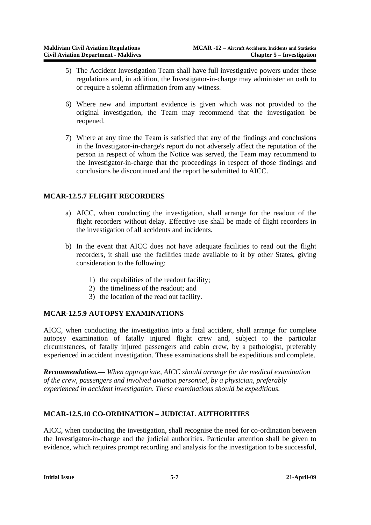- 5) The Accident Investigation Team shall have full investigative powers under these regulations and, in addition, the Investigator-in-charge may administer an oath to or require a solemn affirmation from any witness.
- 6) Where new and important evidence is given which was not provided to the original investigation, the Team may recommend that the investigation be reopened.
- 7) Where at any time the Team is satisfied that any of the findings and conclusions in the Investigator-in-charge's report do not adversely affect the reputation of the person in respect of whom the Notice was served, the Team may recommend to the Investigator-in-charge that the proceedings in respect of those findings and conclusions be discontinued and the report be submitted to AICC.

## **MCAR-12.5.7 FLIGHT RECORDERS**

- a) AICC, when conducting the investigation, shall arrange for the readout of the flight recorders without delay. Effective use shall be made of flight recorders in the investigation of all accidents and incidents.
- b) In the event that AICC does not have adequate facilities to read out the flight recorders, it shall use the facilities made available to it by other States, giving consideration to the following:
	- 1) the capabilities of the readout facility;
	- 2) the timeliness of the readout; and
	- 3) the location of the read out facility.

### **MCAR-12.5.9 AUTOPSY EXAMINATIONS**

AICC, when conducting the investigation into a fatal accident, shall arrange for complete autopsy examination of fatally injured flight crew and, subject to the particular circumstances, of fatally injured passengers and cabin crew, by a pathologist, preferably experienced in accident investigation. These examinations shall be expeditious and complete.

*Recommendation.— When appropriate, AICC should arrange for the medical examination of the crew, passengers and involved aviation personnel, by a physician, preferably experienced in accident investigation. These examinations should be expeditious.* 

## **MCAR-12.5.10 CO-ORDINATION – JUDICIAL AUTHORITIES**

AICC, when conducting the investigation, shall recognise the need for co-ordination between the Investigator-in-charge and the judicial authorities. Particular attention shall be given to evidence, which requires prompt recording and analysis for the investigation to be successful,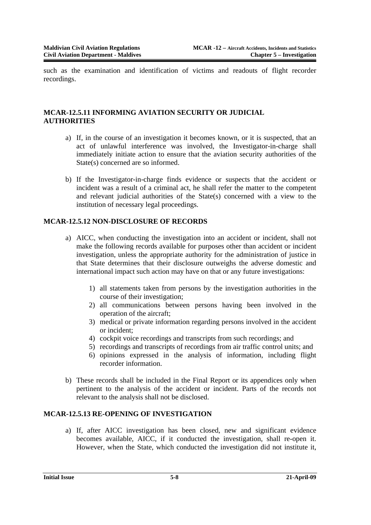such as the examination and identification of victims and readouts of flight recorder recordings.

### **MCAR-12.5.11 INFORMING AVIATION SECURITY OR JUDICIAL AUTHORITIES**

- a) If, in the course of an investigation it becomes known, or it is suspected, that an act of unlawful interference was involved, the Investigator-in-charge shall immediately initiate action to ensure that the aviation security authorities of the State(s) concerned are so informed.
- b) If the Investigator-in-charge finds evidence or suspects that the accident or incident was a result of a criminal act, he shall refer the matter to the competent and relevant judicial authorities of the State(s) concerned with a view to the institution of necessary legal proceedings.

### **MCAR-12.5.12 NON-DISCLOSURE OF RECORDS**

- a) AICC, when conducting the investigation into an accident or incident, shall not make the following records available for purposes other than accident or incident investigation, unless the appropriate authority for the administration of justice in that State determines that their disclosure outweighs the adverse domestic and international impact such action may have on that or any future investigations:
	- 1) all statements taken from persons by the investigation authorities in the course of their investigation;
	- 2) all communications between persons having been involved in the operation of the aircraft;
	- 3) medical or private information regarding persons involved in the accident or incident;
	- 4) cockpit voice recordings and transcripts from such recordings; and
	- 5) recordings and transcripts of recordings from air traffic control units; and
	- 6) opinions expressed in the analysis of information, including flight recorder information.
- b) These records shall be included in the Final Report or its appendices only when pertinent to the analysis of the accident or incident. Parts of the records not relevant to the analysis shall not be disclosed.

### **MCAR-12.5.13 RE-OPENING OF INVESTIGATION**

a) If, after AICC investigation has been closed, new and significant evidence becomes available, AICC, if it conducted the investigation, shall re-open it. However, when the State, which conducted the investigation did not institute it,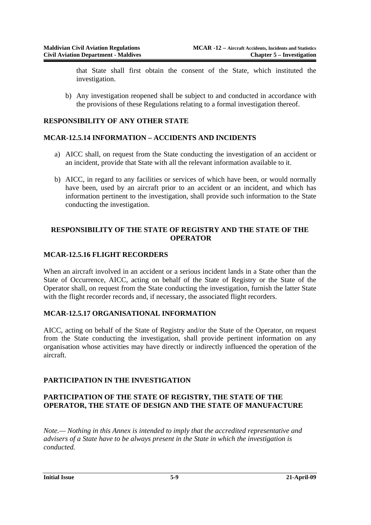that State shall first obtain the consent of the State, which instituted the investigation.

b) Any investigation reopened shall be subject to and conducted in accordance with the provisions of these Regulations relating to a formal investigation thereof.

### **RESPONSIBILITY OF ANY OTHER STATE**

### **MCAR-12.5.14 INFORMATION – ACCIDENTS AND INCIDENTS**

- a) AICC shall, on request from the State conducting the investigation of an accident or an incident, provide that State with all the relevant information available to it.
- b) AICC, in regard to any facilities or services of which have been, or would normally have been, used by an aircraft prior to an accident or an incident, and which has information pertinent to the investigation, shall provide such information to the State conducting the investigation.

### **RESPONSIBILITY OF THE STATE OF REGISTRY AND THE STATE OF THE OPERATOR**

### **MCAR-12.5.16 FLIGHT RECORDERS**

When an aircraft involved in an accident or a serious incident lands in a State other than the State of Occurrence, AICC, acting on behalf of the State of Registry or the State of the Operator shall, on request from the State conducting the investigation, furnish the latter State with the flight recorder records and, if necessary, the associated flight recorders.

### **MCAR-12.5.17 ORGANISATIONAL INFORMATION**

AICC, acting on behalf of the State of Registry and/or the State of the Operator, on request from the State conducting the investigation, shall provide pertinent information on any organisation whose activities may have directly or indirectly influenced the operation of the aircraft.

### **PARTICIPATION IN THE INVESTIGATION**

### **PARTICIPATION OF THE STATE OF REGISTRY, THE STATE OF THE OPERATOR, THE STATE OF DESIGN AND THE STATE OF MANUFACTURE**

*Note.— Nothing in this Annex is intended to imply that the accredited representative and advisers of a State have to be always present in the State in which the investigation is conducted.*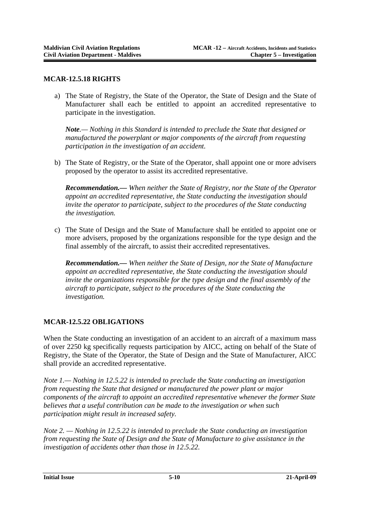#### **MCAR-12.5.18 RIGHTS**

a) The State of Registry, the State of the Operator, the State of Design and the State of Manufacturer shall each be entitled to appoint an accredited representative to participate in the investigation.

*Note.— Nothing in this Standard is intended to preclude the State that designed or manufactured the powerplant or major components of the aircraft from requesting participation in the investigation of an accident.* 

b) The State of Registry, or the State of the Operator, shall appoint one or more advisers proposed by the operator to assist its accredited representative.

*Recommendation.— When neither the State of Registry, nor the State of the Operator appoint an accredited representative, the State conducting the investigation should invite the operator to participate, subject to the procedures of the State conducting the investigation.* 

c) The State of Design and the State of Manufacture shall be entitled to appoint one or more advisers, proposed by the organizations responsible for the type design and the final assembly of the aircraft, to assist their accredited representatives.

*Recommendation.— When neither the State of Design, nor the State of Manufacture appoint an accredited representative, the State conducting the investigation should invite the organizations responsible for the type design and the final assembly of the aircraft to participate, subject to the procedures of the State conducting the investigation.* 

## **MCAR-12.5.22 OBLIGATIONS**

When the State conducting an investigation of an accident to an aircraft of a maximum mass of over 2250 kg specifically requests participation by AICC, acting on behalf of the State of Registry, the State of the Operator, the State of Design and the State of Manufacturer, AICC shall provide an accredited representative.

*Note 1.— Nothing in 12.5.22 is intended to preclude the State conducting an investigation from requesting the State that designed or manufactured the power plant or major components of the aircraft to appoint an accredited representative whenever the former State believes that a useful contribution can be made to the investigation or when such participation might result in increased safety.* 

*Note 2. — Nothing in 12.5.22 is intended to preclude the State conducting an investigation from requesting the State of Design and the State of Manufacture to give assistance in the investigation of accidents other than those in 12.5.22.*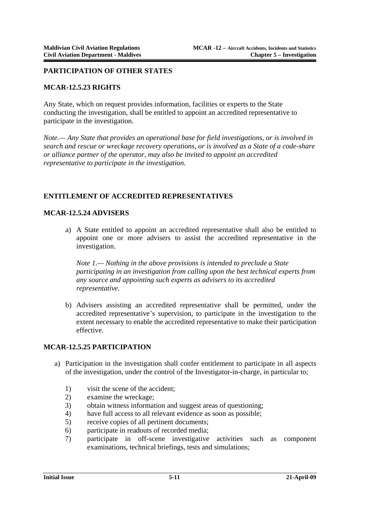#### **PARTICIPATION OF OTHER STATES**

#### **MCAR-12.5.23 RIGHTS**

Any State, which on request provides information, facilities or experts to the State conducting the investigation, shall be entitled to appoint an accredited representative to participate in the investigation.

*Note.— Any State that provides an operational base for field investigations, or is involved in search and rescue or wreckage recovery operations, or is involved as a State of a code-share or alliance partner of the operator, may also be invited to appoint an accredited representative to participate in the investigation.*

### **ENTITLEMENT OF ACCREDITED REPRESENTATIVES**

#### **MCAR-12.5.24 ADVISERS**

a) A State entitled to appoint an accredited representative shall also be entitled to appoint one or more advisers to assist the accredited representative in the investigation.

*Note 1.— Nothing in the above provisions is intended to preclude a State participating in an investigation from calling upon the best technical experts from any source and appointing such experts as advisers to its accredited representative.*

b) Advisers assisting an accredited representative shall be permitted, under the accredited representative's supervision, to participate in the investigation to the extent necessary to enable the accredited representative to make their participation effective.

#### **MCAR-12.5.25 PARTICIPATION**

- a) Participation in the investigation shall confer entitlement to participate in all aspects of the investigation, under the control of the Investigator-in-charge, in particular to;
	- 1) visit the scene of the accident;
	- 2) examine the wreckage;
	- 3) obtain witness information and suggest areas of questioning;
	- 4) have full access to all relevant evidence as soon as possible;
	- 5) receive copies of all pertinent documents;
	- 6) participate in readouts of recorded media;
	- 7) participate in off-scene investigative activities such as component examinations, technical briefings, tests and simulations;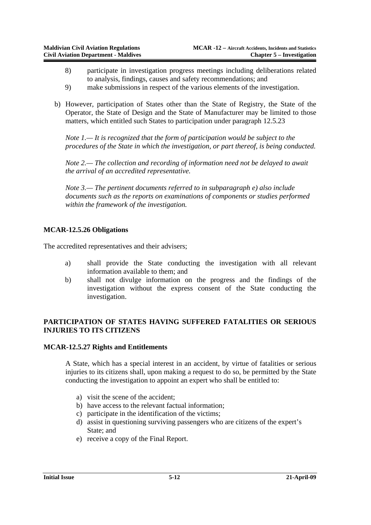- 8) participate in investigation progress meetings including deliberations related to analysis, findings, causes and safety recommendations; and
- 9) make submissions in respect of the various elements of the investigation.
- b) However, participation of States other than the State of Registry, the State of the Operator, the State of Design and the State of Manufacturer may be limited to those matters, which entitled such States to participation under paragraph 12.5.23

*Note 1.— It is recognized that the form of participation would be subject to the procedures of the State in which the investigation, or part thereof, is being conducted.*

*Note 2.— The collection and recording of information need not be delayed to await the arrival of an accredited representative.* 

*Note 3.— The pertinent documents referred to in subparagraph e) also include documents such as the reports on examinations of components or studies performed within the framework of the investigation.*

### **MCAR-12.5.26 Obligations**

The accredited representatives and their advisers;

- a) shall provide the State conducting the investigation with all relevant information available to them; and
- b) shall not divulge information on the progress and the findings of the investigation without the express consent of the State conducting the investigation.

### **PARTICIPATION OF STATES HAVING SUFFERED FATALITIES OR SERIOUS INJURIES TO ITS CITIZENS**

#### **MCAR-12.5.27 Rights and Entitlements**

A State, which has a special interest in an accident, by virtue of fatalities or serious injuries to its citizens shall, upon making a request to do so, be permitted by the State conducting the investigation to appoint an expert who shall be entitled to:

- a) visit the scene of the accident;
- b) have access to the relevant factual information;
- c) participate in the identification of the victims;
- d) assist in questioning surviving passengers who are citizens of the expert's State; and
- e) receive a copy of the Final Report.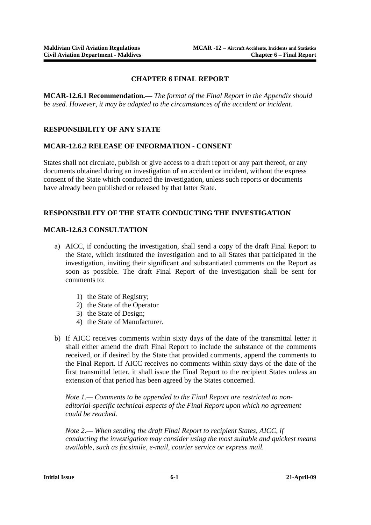### **CHAPTER 6 FINAL REPORT**

**MCAR-12.6.1 Recommendation.—** *The format of the Final Report in the Appendix should be used. However, it may be adapted to the circumstances of the accident or incident.*

### **RESPONSIBILITY OF ANY STATE**

#### **MCAR-12.6.2 RELEASE OF INFORMATION - CONSENT**

States shall not circulate, publish or give access to a draft report or any part thereof, or any documents obtained during an investigation of an accident or incident, without the express consent of the State which conducted the investigation, unless such reports or documents have already been published or released by that latter State.

### **RESPONSIBILITY OF THE STATE CONDUCTING THE INVESTIGATION**

#### **MCAR-12.6.3 CONSULTATION**

- a) AICC, if conducting the investigation, shall send a copy of the draft Final Report to the State, which instituted the investigation and to all States that participated in the investigation, inviting their significant and substantiated comments on the Report as soon as possible. The draft Final Report of the investigation shall be sent for comments to:
	- 1) the State of Registry;
	- 2) the State of the Operator
	- 3) the State of Design;
	- 4) the State of Manufacturer.
- b) If AICC receives comments within sixty days of the date of the transmittal letter it shall either amend the draft Final Report to include the substance of the comments received, or if desired by the State that provided comments, append the comments to the Final Report. If AICC receives no comments within sixty days of the date of the first transmittal letter, it shall issue the Final Report to the recipient States unless an extension of that period has been agreed by the States concerned.

*Note 1.— Comments to be appended to the Final Report are restricted to noneditorial-specific technical aspects of the Final Report upon which no agreement could be reached.* 

*Note 2.— When sending the draft Final Report to recipient States, AICC, if conducting the investigation may consider using the most suitable and quickest means available, such as facsimile, e-mail, courier service or express mail.*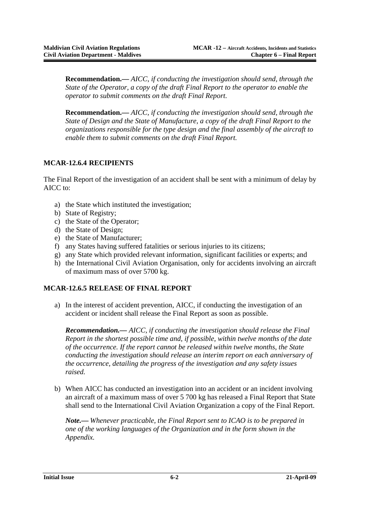**Recommendation.—** *AICC, if conducting the investigation should send, through the State of the Operator, a copy of the draft Final Report to the operator to enable the operator to submit comments on the draft Final Report.* 

**Recommendation.—** *AICC, if conducting the investigation should send, through the State of Design and the State of Manufacture, a copy of the draft Final Report to the organizations responsible for the type design and the final assembly of the aircraft to enable them to submit comments on the draft Final Report.*

### **MCAR-12.6.4 RECIPIENTS**

The Final Report of the investigation of an accident shall be sent with a minimum of delay by AICC to:

- a) the State which instituted the investigation;
- b) State of Registry;
- c) the State of the Operator;
- d) the State of Design;
- e) the State of Manufacturer;
- f) any States having suffered fatalities or serious injuries to its citizens;
- g) any State which provided relevant information, significant facilities or experts; and
- h) the International Civil Aviation Organisation, only for accidents involving an aircraft of maximum mass of over 5700 kg.

### **MCAR-12.6.5 RELEASE OF FINAL REPORT**

a) In the interest of accident prevention, AICC, if conducting the investigation of an accident or incident shall release the Final Report as soon as possible.

*Recommendation.— AICC, if conducting the investigation should release the Final Report in the shortest possible time and, if possible, within twelve months of the date of the occurrence. If the report cannot be released within twelve months, the State conducting the investigation should release an interim report on each anniversary of the occurrence, detailing the progress of the investigation and any safety issues raised.* 

b) When AICC has conducted an investigation into an accident or an incident involving an aircraft of a maximum mass of over 5 700 kg has released a Final Report that State shall send to the International Civil Aviation Organization a copy of the Final Report.

*Note.— Whenever practicable, the Final Report sent to ICAO is to be prepared in one of the working languages of the Organization and in the form shown in the Appendix.*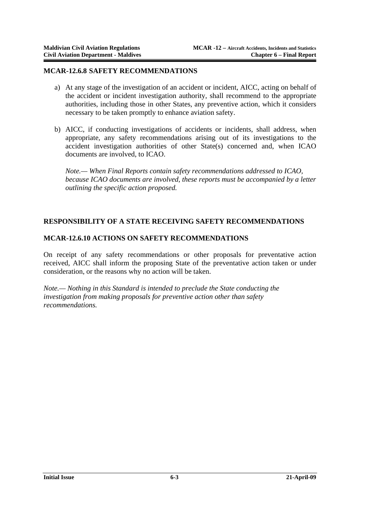#### **MCAR-12.6.8 SAFETY RECOMMENDATIONS**

- a) At any stage of the investigation of an accident or incident, AICC, acting on behalf of the accident or incident investigation authority, shall recommend to the appropriate authorities, including those in other States, any preventive action, which it considers necessary to be taken promptly to enhance aviation safety.
- b) AICC, if conducting investigations of accidents or incidents, shall address, when appropriate, any safety recommendations arising out of its investigations to the accident investigation authorities of other State(s) concerned and, when ICAO documents are involved, to ICAO.

*Note.— When Final Reports contain safety recommendations addressed to ICAO, because ICAO documents are involved, these reports must be accompanied by a letter outlining the specific action proposed.*

### **RESPONSIBILITY OF A STATE RECEIVING SAFETY RECOMMENDATIONS**

#### **MCAR-12.6.10 ACTIONS ON SAFETY RECOMMENDATIONS**

On receipt of any safety recommendations or other proposals for preventative action received, AICC shall inform the proposing State of the preventative action taken or under consideration, or the reasons why no action will be taken.

*Note.— Nothing in this Standard is intended to preclude the State conducting the investigation from making proposals for preventive action other than safety recommendations.*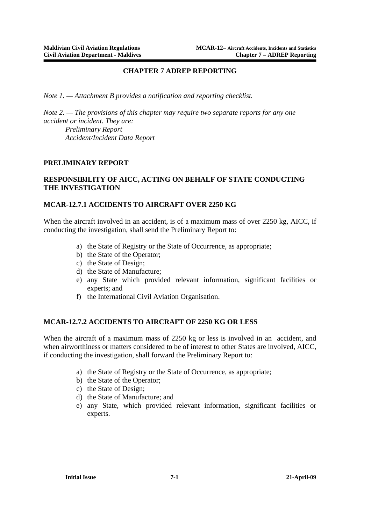#### **CHAPTER 7 ADREP REPORTING**

*Note 1. — Attachment B provides a notification and reporting checklist.* 

*Note 2. — The provisions of this chapter may require two separate reports for any one accident or incident. They are: Preliminary Report Accident/Incident Data Report*

#### **PRELIMINARY REPORT**

#### **RESPONSIBILITY OF AICC, ACTING ON BEHALF OF STATE CONDUCTING THE INVESTIGATION**

### **MCAR-12.7.1 ACCIDENTS TO AIRCRAFT OVER 2250 KG**

When the aircraft involved in an accident, is of a maximum mass of over 2250 kg, AICC, if conducting the investigation, shall send the Preliminary Report to:

- a) the State of Registry or the State of Occurrence, as appropriate;
- b) the State of the Operator;
- c) the State of Design;
- d) the State of Manufacture;
- e) any State which provided relevant information, significant facilities or experts; and
- f) the International Civil Aviation Organisation.

#### **MCAR-12.7.2 ACCIDENTS TO AIRCRAFT OF 2250 KG OR LESS**

When the aircraft of a maximum mass of 2250 kg or less is involved in an accident, and when airworthiness or matters considered to be of interest to other States are involved, AICC, if conducting the investigation, shall forward the Preliminary Report to:

- a) the State of Registry or the State of Occurrence, as appropriate;
- b) the State of the Operator;
- c) the State of Design;
- d) the State of Manufacture; and
- e) any State, which provided relevant information, significant facilities or experts.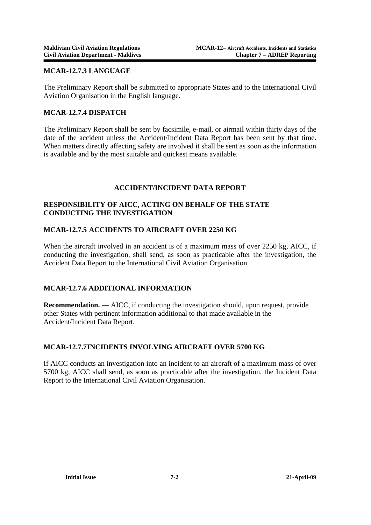### **MCAR-12.7.3 LANGUAGE**

The Preliminary Report shall be submitted to appropriate States and to the International Civil Aviation Organisation in the English language.

#### **MCAR-12.7.4 DISPATCH**

The Preliminary Report shall be sent by facsimile, e-mail, or airmail within thirty days of the date of the accident unless the Accident/Incident Data Report has been sent by that time. When matters directly affecting safety are involved it shall be sent as soon as the information is available and by the most suitable and quickest means available.

### **ACCIDENT/INCIDENT DATA REPORT**

### **RESPONSIBILITY OF AICC, ACTING ON BEHALF OF THE STATE CONDUCTING THE INVESTIGATION**

### **MCAR-12.7.5 ACCIDENTS TO AIRCRAFT OVER 2250 KG**

When the aircraft involved in an accident is of a maximum mass of over 2250 kg, AICC, if conducting the investigation, shall send, as soon as practicable after the investigation, the Accident Data Report to the International Civil Aviation Organisation.

### **MCAR-12.7.6 ADDITIONAL INFORMATION**

**Recommendation. —** AICC, if conducting the investigation should, upon request, provide other States with pertinent information additional to that made available in the Accident/Incident Data Report.

### **MCAR-12.7.7 INCIDENTS INVOLVING AIRCRAFT OVER 5700 KG**

If AICC conducts an investigation into an incident to an aircraft of a maximum mass of over 5700 kg, AICC shall send, as soon as practicable after the investigation, the Incident Data Report to the International Civil Aviation Organisation.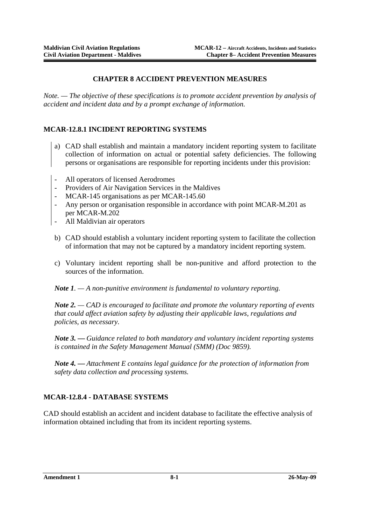### **CHAPTER 8 ACCIDENT PREVENTION MEASURES**

*Note. — The objective of these specifications is to promote accident prevention by analysis of accident and incident data and by a prompt exchange of information.*

### **MCAR-12.8.1 INCIDENT REPORTING SYSTEMS**

- a) CAD shall establish and maintain a mandatory incident reporting system to facilitate collection of information on actual or potential safety deficiencies. The following persons or organisations are responsible for reporting incidents under this provision:
- All operators of licensed Aerodromes
- Providers of Air Navigation Services in the Maldives
- MCAR-145 organisations as per MCAR-145.60
- Any person or organisation responsible in accordance with point MCAR-M.201 as per MCAR-M.202
- All Maldivian air operators
- b) CAD should establish a voluntary incident reporting system to facilitate the collection of information that may not be captured by a mandatory incident reporting system.
- c) Voluntary incident reporting shall be non-punitive and afford protection to the sources of the information.

*Note 1. — A non-punitive environment is fundamental to voluntary reporting.* 

*Note 2. — CAD is encouraged to facilitate and promote the voluntary reporting of events that could affect aviation safety by adjusting their applicable laws, regulations and policies, as necessary.* 

*Note 3. — Guidance related to both mandatory and voluntary incident reporting systems is contained in the Safety Management Manual (SMM) (Doc 9859).* 

*Note 4. — Attachment E contains legal guidance for the protection of information from safety data collection and processing systems.* 

### **MCAR-12.8.4 - DATABASE SYSTEMS**

CAD should establish an accident and incident database to facilitate the effective analysis of information obtained including that from its incident reporting systems.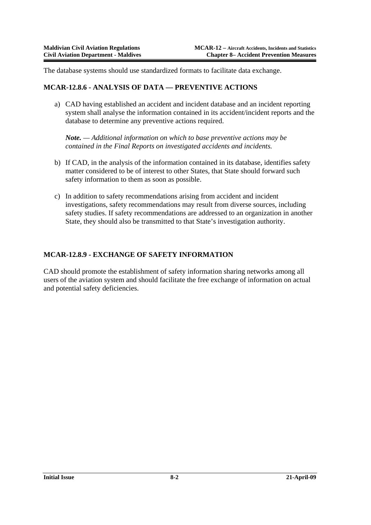The database systems should use standardized formats to facilitate data exchange.

#### **MCAR-12.8.6 - ANALYSIS OF DATA — PREVENTIVE ACTIONS**

a) CAD having established an accident and incident database and an incident reporting system shall analyse the information contained in its accident/incident reports and the database to determine any preventive actions required.

*Note. — Additional information on which to base preventive actions may be contained in the Final Reports on investigated accidents and incidents.* 

- b) If CAD, in the analysis of the information contained in its database, identifies safety matter considered to be of interest to other States, that State should forward such safety information to them as soon as possible.
- c) In addition to safety recommendations arising from accident and incident investigations, safety recommendations may result from diverse sources, including safety studies. If safety recommendations are addressed to an organization in another State, they should also be transmitted to that State's investigation authority.

### **MCAR-12.8.9 - EXCHANGE OF SAFETY INFORMATION**

CAD should promote the establishment of safety information sharing networks among all users of the aviation system and should facilitate the free exchange of information on actual and potential safety deficiencies.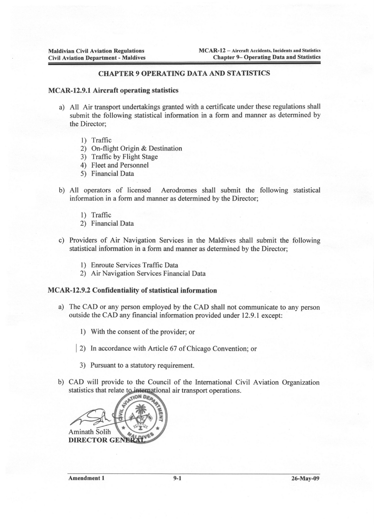#### **CHAPTER 9 OPERATING DATA AND STATISTICS**

#### **MCAR-12.9.1 Aircraft operating statistics**

- a) All Air transport undertakings granted with a certificate under these regulations shall submit the following statistical information in a form and manner as determined by the Director;
	- 1) Traffic
	- 2) On-flight Origin & Destination
	- 3) Traffic by Flight Stage
	- 4) Fleet and Personnel
	- 5) Financial Data
- b) All operators of licensed Aerodromes shall submit the following statistical information in a form and manner as determined by the Director;
	- 1) Traffic
	- 2) Financial Data
- c) Providers of Air Navigation Services in the Maldives shall submit the following statistical information in a form and manner as determined by the Director;
	- 1) Enroute Services Traffic Data
	- 2) Air Navigation Services Financial Data

#### **MCAR-12.9.2 Confidentiality of statistical information**

- a) The CAD or any person employed by the CAD shall not communicate to any person outside the CAD any financial information provided under 12.9.1 except:
	- 1) With the consent of the provider; or
	- 2) In accordance with Article 67 of Chicago Convention; or
	- 3) Pursuant to a statutory requirement.
- b) CAD will provide to the Council of the International Civil Aviation Organization statistics that relate to international air transport operations.

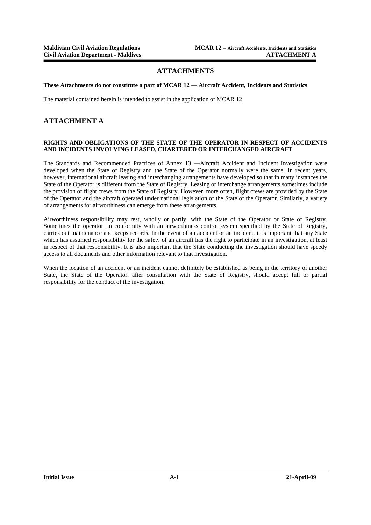#### **ATTACHMENTS**

#### **These Attachments do not constitute a part of MCAR 12 — Aircraft Accident, Incidents and Statistics**

The material contained herein is intended to assist in the application of MCAR 12

#### **ATTACHMENT A**

#### **RIGHTS AND OBLIGATIONS OF THE STATE OF THE OPERATOR IN RESPECT OF ACCIDENTS AND INCIDENTS INVOLVING LEASED, CHARTERED OR INTERCHANGED AIRCRAFT**

The Standards and Recommended Practices of Annex 13 —Aircraft Accident and Incident Investigation were developed when the State of Registry and the State of the Operator normally were the same. In recent years, however, international aircraft leasing and interchanging arrangements have developed so that in many instances the State of the Operator is different from the State of Registry. Leasing or interchange arrangements sometimes include the provision of flight crews from the State of Registry. However, more often, flight crews are provided by the State of the Operator and the aircraft operated under national legislation of the State of the Operator. Similarly, a variety of arrangements for airworthiness can emerge from these arrangements.

Airworthiness responsibility may rest, wholly or partly, with the State of the Operator or State of Registry. Sometimes the operator, in conformity with an airworthiness control system specified by the State of Registry, carries out maintenance and keeps records. In the event of an accident or an incident, it is important that any State which has assumed responsibility for the safety of an aircraft has the right to participate in an investigation, at least in respect of that responsibility. It is also important that the State conducting the investigation should have speedy access to all documents and other information relevant to that investigation.

When the location of an accident or an incident cannot definitely be established as being in the territory of another State, the State of the Operator, after consultation with the State of Registry, should accept full or partial responsibility for the conduct of the investigation.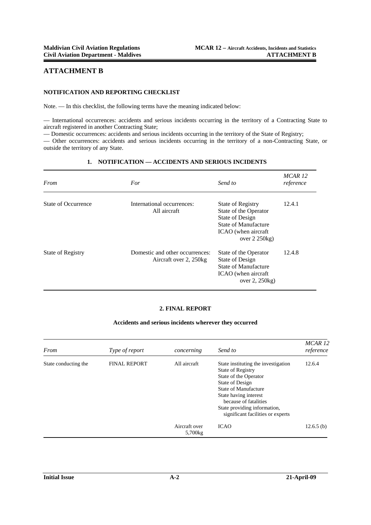#### **ATTACHMENT B**

#### **NOTIFICATION AND REPORTING CHECKLIST**

Note. — In this checklist, the following terms have the meaning indicated below:

— International occurrences: accidents and serious incidents occurring in the territory of a Contracting State to aircraft registered in another Contracting State;

— Domestic occurrences: accidents and serious incidents occurring in the territory of the State of Registry;

— Other occurrences: accidents and serious incidents occurring in the territory of a non-Contracting State, or outside the territory of any State.

#### **1. NOTIFICATION — ACCIDENTS AND SERIOUS INCIDENTS**

| From                     | For                                                       | Send to                                                                                                                                       | MCAR <sub>12</sub><br>reference |
|--------------------------|-----------------------------------------------------------|-----------------------------------------------------------------------------------------------------------------------------------------------|---------------------------------|
| State of Occurrence      | International occurrences:<br>All aircraft                | State of Registry<br>State of the Operator<br>State of Design<br><b>State of Manufacture</b><br>ICAO (when aircraft<br>over $2\,250\text{kg}$ | 12.4.1                          |
| <b>State of Registry</b> | Domestic and other occurrences:<br>Aircraft over 2, 250kg | State of the Operator<br>State of Design<br>State of Manufacture<br>ICAO (when aircraft<br>over 2, 250kg)                                     | 12.4.8                          |

#### **2. FINAL REPORT**

#### **Accidents and serious incidents wherever they occurred**

| From                 | Type of report      | concerning               | Send to                                                                                                                                                                                                                                                    | MCAR <sub>12</sub><br>reference |
|----------------------|---------------------|--------------------------|------------------------------------------------------------------------------------------------------------------------------------------------------------------------------------------------------------------------------------------------------------|---------------------------------|
| State conducting the | <b>FINAL REPORT</b> | All aircraft             | State instituting the investigation<br><b>State of Registry</b><br>State of the Operator<br>State of Design<br>State of Manufacture<br>State having interest<br>because of fatalities<br>State providing information,<br>significant facilities or experts | 12.6.4                          |
|                      |                     | Aircraft over<br>5,700kg | <b>ICAO</b>                                                                                                                                                                                                                                                | $12.6.5$ (b)                    |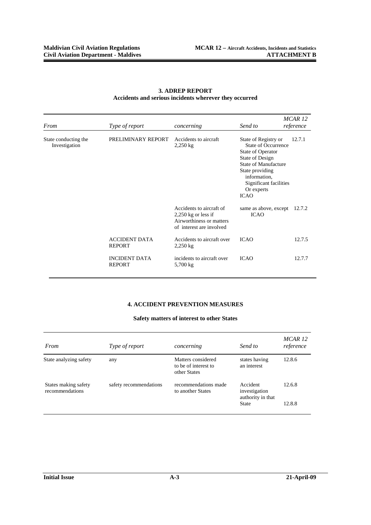| From                                                                                                                    | Type of report     | concerning                                                                                                | Send to                                                                                                                                                                                                             | MCAR <sub>12</sub><br>reference |
|-------------------------------------------------------------------------------------------------------------------------|--------------------|-----------------------------------------------------------------------------------------------------------|---------------------------------------------------------------------------------------------------------------------------------------------------------------------------------------------------------------------|---------------------------------|
| State conducting the<br>Investigation<br><b>ACCIDENT DATA</b><br><b>REPORT</b><br><b>INCIDENT DATA</b><br><b>REPORT</b> | PRELIMINARY REPORT | Accidents to aircraft<br>$2,250$ kg                                                                       | State of Registry or<br>State of Occurrence<br><b>State of Operator</b><br>State of Design<br><b>State of Manufacture</b><br>State providing<br>information.<br>Significant facilities<br>Or experts<br><b>ICAO</b> | 12.7.1                          |
|                                                                                                                         |                    | Accidents to aircraft of<br>$2,250$ kg or less if<br>Airworthiness or matters<br>of interest are involved | same as above, except<br><b>ICAO</b>                                                                                                                                                                                | 12.7.2                          |
|                                                                                                                         |                    | Accidents to aircraft over<br>$2,250$ kg                                                                  | <b>ICAO</b>                                                                                                                                                                                                         | 12.7.5                          |
|                                                                                                                         |                    | incidents to aircraft over<br>5,700 kg                                                                    | <b>ICAO</b>                                                                                                                                                                                                         | 12.7.7                          |

#### **3. ADREP REPORT Accidents and serious incidents wherever they occurred**

### **4. ACCIDENT PREVENTION MEASURES**

#### **Safety matters of interest to other States**

| From                                    | <i>Type of report</i>  | concerning                                                 | Send to                                                        | MCAR 12<br>reference |
|-----------------------------------------|------------------------|------------------------------------------------------------|----------------------------------------------------------------|----------------------|
| State analyzing safety                  | any                    | Matters considered<br>to be of interest to<br>other States | states having<br>an interest                                   | 12.8.6               |
| States making safety<br>recommendations | safety recommendations | recommendations made<br>to another States                  | Accident<br>investigation<br>authority in that<br><b>State</b> | 12.6.8<br>12.8.8     |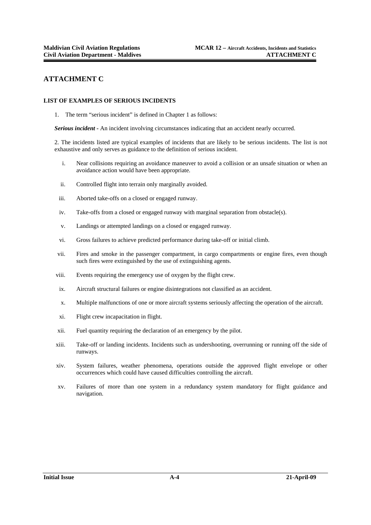#### **ATTACHMENT C**

#### **LIST OF EXAMPLES OF SERIOUS INCIDENTS**

1. The term "serious incident" is defined in Chapter 1 as follows:

*Serious incident -* An incident involving circumstances indicating that an accident nearly occurred.

2. The incidents listed are typical examples of incidents that are likely to be serious incidents. The list is not exhaustive and only serves as guidance to the definition of serious incident.

- i. Near collisions requiring an avoidance maneuver to avoid a collision or an unsafe situation or when an avoidance action would have been appropriate.
- ii. Controlled flight into terrain only marginally avoided.
- iii. Aborted take-offs on a closed or engaged runway.
- iv. Take-offs from a closed or engaged runway with marginal separation from obstacle(s).
- v. Landings or attempted landings on a closed or engaged runway.
- vi. Gross failures to achieve predicted performance during take-off or initial climb.
- vii. Fires and smoke in the passenger compartment, in cargo compartments or engine fires, even though such fires were extinguished by the use of extinguishing agents.
- viii. Events requiring the emergency use of oxygen by the flight crew.
- ix. Aircraft structural failures or engine disintegrations not classified as an accident.
- x. Multiple malfunctions of one or more aircraft systems seriously affecting the operation of the aircraft.
- xi. Flight crew incapacitation in flight.
- xii. Fuel quantity requiring the declaration of an emergency by the pilot.
- xiii. Take-off or landing incidents. Incidents such as undershooting, overrunning or running off the side of runways.
- xiv. System failures, weather phenomena, operations outside the approved flight envelope or other occurrences which could have caused difficulties controlling the aircraft.
- xv. Failures of more than one system in a redundancy system mandatory for flight guidance and navigation.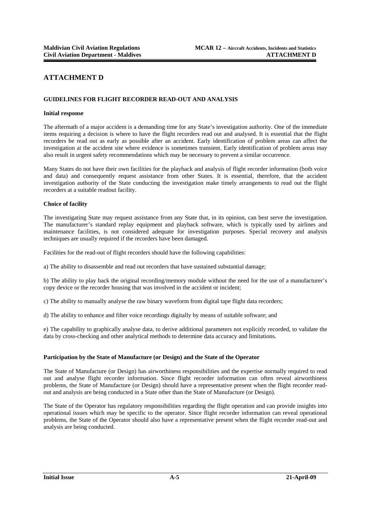### **ATTACHMENT D**

#### **GUIDELINES FOR FLIGHT RECORDER READ-OUT AND ANALYSIS**

#### **Initial response**

The aftermath of a major accident is a demanding time for any State's investigation authority. One of the immediate items requiring a decision is where to have the flight recorders read out and analysed. It is essential that the flight recorders be read out as early as possible after an accident. Early identification of problem areas can affect the investigation at the accident site where evidence is sometimes transient. Early identification of problem areas may also result in urgent safety recommendations which may be necessary to prevent a similar occurrence.

Many States do not have their own facilities for the playback and analysis of flight recorder information (both voice and data) and consequently request assistance from other States. It is essential, therefore, that the accident investigation authority of the State conducting the investigation make timely arrangements to read out the flight recorders at a suitable readout facility.

#### **Choice of facility**

The investigating State may request assistance from any State that, in its opinion, can best serve the investigation. The manufacturer's standard replay equipment and playback software, which is typically used by airlines and maintenance facilities, is not considered adequate for investigation purposes. Special recovery and analysis techniques are usually required if the recorders have been damaged.

Facilities for the read-out of flight recorders should have the following capabilities:

a) The ability to disassemble and read out recorders that have sustained substantial damage;

b) The ability to play back the original recording/memory module without the need for the use of a manufacturer's copy device or the recorder housing that was involved in the accident or incident;

c) The ability to manually analyse the raw binary waveform from digital tape flight data recorders;

d) The ability to enhance and filter voice recordings digitally by means of suitable software; and

e) The capability to graphically analyse data, to derive additional parameters not explicitly recorded, to validate the data by cross-checking and other analytical methods to determine data accuracy and limitations.

#### **Participation by the State of Manufacture (or Design) and the State of the Operator**

The State of Manufacture (or Design) has airworthiness responsibilities and the expertise normally required to read out and analyse flight recorder information. Since flight recorder information can often reveal airworthiness problems, the State of Manufacture (or Design) should have a representative present when the flight recorder readout and analysis are being conducted in a State other than the State of Manufacture (or Design).

The State of the Operator has regulatory responsibilities regarding the flight operation and can provide insights into operational issues which may be specific to the operator. Since flight recorder information can reveal operational problems, the State of the Operator should also have a representative present when the flight recorder read-out and analysis are being conducted.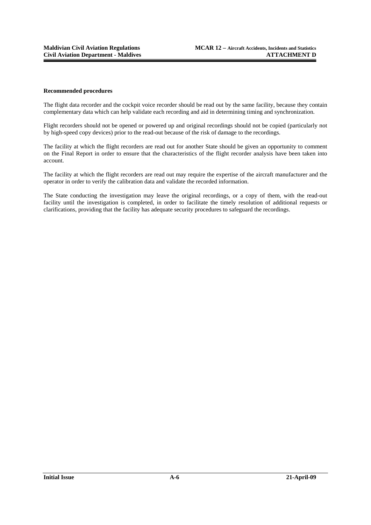#### **Recommended procedures**

The flight data recorder and the cockpit voice recorder should be read out by the same facility, because they contain complementary data which can help validate each recording and aid in determining timing and synchronization.

Flight recorders should not be opened or powered up and original recordings should not be copied (particularly not by high-speed copy devices) prior to the read-out because of the risk of damage to the recordings.

The facility at which the flight recorders are read out for another State should be given an opportunity to comment on the Final Report in order to ensure that the characteristics of the flight recorder analysis have been taken into account.

The facility at which the flight recorders are read out may require the expertise of the aircraft manufacturer and the operator in order to verify the calibration data and validate the recorded information.

The State conducting the investigation may leave the original recordings, or a copy of them, with the read-out facility until the investigation is completed, in order to facilitate the timely resolution of additional requests or clarifications, providing that the facility has adequate security procedures to safeguard the recordings.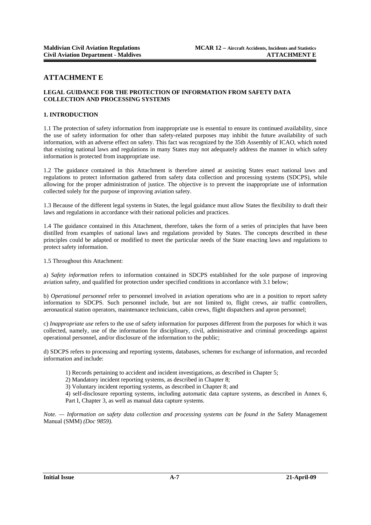#### **ATTACHMENT E**

#### **LEGAL GUIDANCE FOR THE PROTECTION OF INFORMATION FROM SAFETY DATA COLLECTION AND PROCESSING SYSTEMS**

#### **1. INTRODUCTION**

1.1 The protection of safety information from inappropriate use is essential to ensure its continued availability, since the use of safety information for other than safety-related purposes may inhibit the future availability of such information, with an adverse effect on safety. This fact was recognized by the 35th Assembly of ICAO, which noted that existing national laws and regulations in many States may not adequately address the manner in which safety information is protected from inappropriate use.

1.2 The guidance contained in this Attachment is therefore aimed at assisting States enact national laws and regulations to protect information gathered from safety data collection and processing systems (SDCPS), while allowing for the proper administration of justice. The objective is to prevent the inappropriate use of information collected solely for the purpose of improving aviation safety.

1.3 Because of the different legal systems in States, the legal guidance must allow States the flexibility to draft their laws and regulations in accordance with their national policies and practices.

1.4 The guidance contained in this Attachment, therefore, takes the form of a series of principles that have been distilled from examples of national laws and regulations provided by States. The concepts described in these principles could be adapted or modified to meet the particular needs of the State enacting laws and regulations to protect safety information.

1.5 Throughout this Attachment:

a) *Safety information* refers to information contained in SDCPS established for the sole purpose of improving aviation safety, and qualified for protection under specified conditions in accordance with 3.1 below;

b) *Operational personnel* refer to personnel involved in aviation operations who are in a position to report safety information to SDCPS. Such personnel include, but are not limited to, flight crews, air traffic controllers, aeronautical station operators, maintenance technicians, cabin crews, flight dispatchers and apron personnel;

c) *Inappropriate use* refers to the use of safety information for purposes different from the purposes for which it was collected, namely, use of the information for disciplinary, civil, administrative and criminal proceedings against operational personnel, and/or disclosure of the information to the public;

d) SDCPS refers to processing and reporting systems, databases, schemes for exchange of information, and recorded information and include:

- 1) Records pertaining to accident and incident investigations, as described in Chapter 5;
- 2) Mandatory incident reporting systems, as described in Chapter 8;
- 3) Voluntary incident reporting systems, as described in Chapter 8; and

4) self-disclosure reporting systems, including automatic data capture systems, as described in Annex 6, Part I, Chapter 3, as well as manual data capture systems.

*Note. — Information on safety data collection and processing systems can be found in the Safety Management* Manual (SMM) *(Doc 9859).*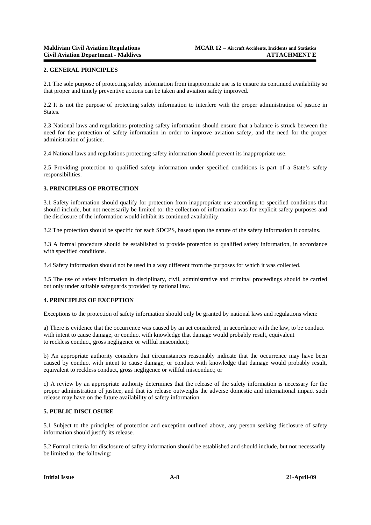#### **2. GENERAL PRINCIPLES**

2.1 The sole purpose of protecting safety information from inappropriate use is to ensure its continued availability so that proper and timely preventive actions can be taken and aviation safety improved.

2.2 It is not the purpose of protecting safety information to interfere with the proper administration of justice in States.

2.3 National laws and regulations protecting safety information should ensure that a balance is struck between the need for the protection of safety information in order to improve aviation safety, and the need for the proper administration of justice.

2.4 National laws and regulations protecting safety information should prevent its inappropriate use.

2.5 Providing protection to qualified safety information under specified conditions is part of a State's safety responsibilities.

#### **3. PRINCIPLES OF PROTECTION**

3.1 Safety information should qualify for protection from inappropriate use according to specified conditions that should include, but not necessarily be limited to: the collection of information was for explicit safety purposes and the disclosure of the information would inhibit its continued availability.

3.2 The protection should be specific for each SDCPS, based upon the nature of the safety information it contains.

3.3 A formal procedure should be established to provide protection to qualified safety information, in accordance with specified conditions.

3.4 Safety information should not be used in a way different from the purposes for which it was collected.

3.5 The use of safety information in disciplinary, civil, administrative and criminal proceedings should be carried out only under suitable safeguards provided by national law.

#### **4. PRINCIPLES OF EXCEPTION**

Exceptions to the protection of safety information should only be granted by national laws and regulations when:

a) There is evidence that the occurrence was caused by an act considered, in accordance with the law, to be conduct with intent to cause damage, or conduct with knowledge that damage would probably result, equivalent to reckless conduct, gross negligence or willful misconduct;

b) An appropriate authority considers that circumstances reasonably indicate that the occurrence may have been caused by conduct with intent to cause damage, or conduct with knowledge that damage would probably result, equivalent to reckless conduct, gross negligence or willful misconduct; or

c) A review by an appropriate authority determines that the release of the safety information is necessary for the proper administration of justice, and that its release outweighs the adverse domestic and international impact such release may have on the future availability of safety information.

#### **5. PUBLIC DISCLOSURE**

5.1 Subject to the principles of protection and exception outlined above, any person seeking disclosure of safety information should justify its release.

5.2 Formal criteria for disclosure of safety information should be established and should include, but not necessarily be limited to, the following: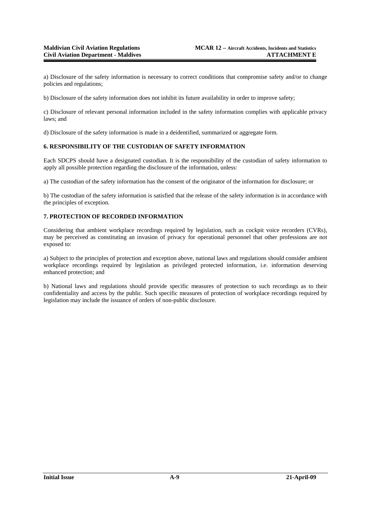a) Disclosure of the safety information is necessary to correct conditions that compromise safety and/or to change policies and regulations;

b) Disclosure of the safety information does not inhibit its future availability in order to improve safety;

c) Disclosure of relevant personal information included in the safety information complies with applicable privacy laws; and

d) Disclosure of the safety information is made in a deidentified, summarized or aggregate form.

#### **6. RESPONSIBILITY OF THE CUSTODIAN OF SAFETY INFORMATION**

Each SDCPS should have a designated custodian. It is the responsibility of the custodian of safety information to apply all possible protection regarding the disclosure of the information, unless:

a) The custodian of the safety information has the consent of the originator of the information for disclosure; or

b) The custodian of the safety information is satisfied that the release of the safety information is in accordance with the principles of exception.

#### **7. PROTECTION OF RECORDED INFORMATION**

Considering that ambient workplace recordings required by legislation, such as cockpit voice recorders (CVRs), may be perceived as constituting an invasion of privacy for operational personnel that other professions are not exposed to:

a) Subject to the principles of protection and exception above, national laws and regulations should consider ambient workplace recordings required by legislation as privileged protected information, i.e. information deserving enhanced protection; and

b) National laws and regulations should provide specific measures of protection to such recordings as to their confidentiality and access by the public. Such specific measures of protection of workplace recordings required by legislation may include the issuance of orders of non-public disclosure.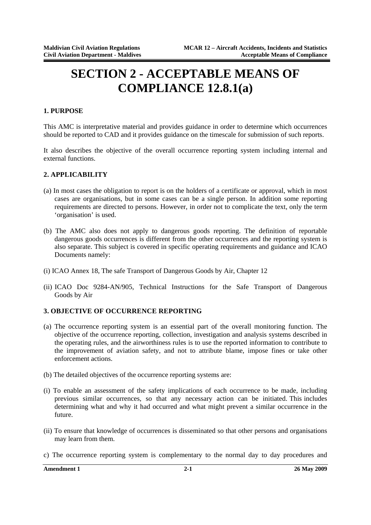# **SECTION 2 - ACCEPTABLE MEANS OF COMPLIANCE 12.8.1(a)**

#### **1. PURPOSE**

This AMC is interpretative material and provides guidance in order to determine which occurrences should be reported to CAD and it provides guidance on the timescale for submission of such reports.

It also describes the objective of the overall occurrence reporting system including internal and external functions.

#### **2. APPLICABILITY**

- (a) In most cases the obligation to report is on the holders of a certificate or approval, which in most cases are organisations, but in some cases can be a single person. In addition some reporting requirements are directed to persons. However, in order not to complicate the text, only the term 'organisation' is used.
- (b) The AMC also does not apply to dangerous goods reporting. The definition of reportable dangerous goods occurrences is different from the other occurrences and the reporting system is also separate. This subject is covered in specific operating requirements and guidance and ICAO Documents namely:
- (i) ICAO Annex 18, The safe Transport of Dangerous Goods by Air, Chapter 12
- (ii) ICAO Doc 9284-AN/905, Technical Instructions for the Safe Transport of Dangerous Goods by Air

#### **3. OBJECTIVE OF OCCURRENCE REPORTING**

- (a) The occurrence reporting system is an essential part of the overall monitoring function. The objective of the occurrence reporting, collection, investigation and analysis systems described in the operating rules, and the airworthiness rules is to use the reported information to contribute to the improvement of aviation safety, and not to attribute blame, impose fines or take other enforcement actions.
- (b) The detailed objectives of the occurrence reporting systems are:
- (i) To enable an assessment of the safety implications of each occurrence to be made, including previous similar occurrences, so that any necessary action can be initiated. This includes determining what and why it had occurred and what might prevent a similar occurrence in the future.
- (ii) To ensure that knowledge of occurrences is disseminated so that other persons and organisations may learn from them.
- c) The occurrence reporting system is complementary to the normal day to day procedures and

**Amendment 1 2-1 26 May 2009**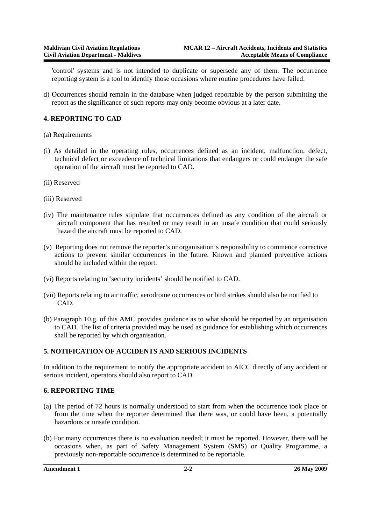'control' systems and is not intended to duplicate or supersede any of them. The occurrence reporting system is a tool to identify those occasions where routine procedures have failed.

d) Occurrences should remain in the database when judged reportable by the person submitting the report as the significance of such reports may only become obvious at a later date.

#### **4. REPORTING TO CAD**

- (a) Requirements
- (i) As detailed in the operating rules, occurrences defined as an incident, malfunction, defect, technical defect or exceedence of technical limitations that endangers or could endanger the safe operation of the aircraft must be reported to CAD.
- (ii) Reserved
- (iii) Reserved
- (iv) The maintenance rules stipulate that occurrences defined as any condition of the aircraft or aircraft component that has resulted or may result in an unsafe condition that could seriously hazard the aircraft must be reported to CAD.
- (v) Reporting does not remove the reporter's or organisation's responsibility to commence corrective actions to prevent similar occurrences in the future. Known and planned preventive actions should be included within the report.
- (vi) Reports relating to 'security incidents' should be notified to CAD.
- (vii) Reports relating to air traffic, aerodrome occurrences or bird strikes should also be notified to CAD.
- (b) Paragraph 10.g. of this AMC provides guidance as to what should be reported by an organisation to CAD. The list of criteria provided may be used as guidance for establishing which occurrences shall be reported by which organisation.

#### **5. NOTIFICATION OF ACCIDENTS AND SERIOUS INCIDENTS**

In addition to the requirement to notify the appropriate accident to AICC directly of any accident or serious incident, operators should also report to CAD.

#### **6. REPORTING TIME**

- (a) The period of 72 hours is normally understood to start from when the occurrence took place or from the time when the reporter determined that there was, or could have been, a potentially hazardous or unsafe condition.
- (b) For many occurrences there is no evaluation needed; it must be reported. However, there will be occasions when, as part of Safety Management System (SMS) or Quality Programme, a previously non-reportable occurrence is determined to be reportable.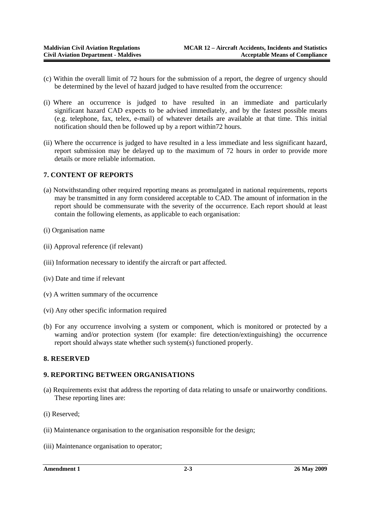- (c) Within the overall limit of 72 hours for the submission of a report, the degree of urgency should be determined by the level of hazard judged to have resulted from the occurrence:
- (i) Where an occurrence is judged to have resulted in an immediate and particularly significant hazard CAD expects to be advised immediately, and by the fastest possible means (e.g. telephone, fax, telex, e-mail) of whatever details are available at that time. This initial notification should then be followed up by a report within72 hours.
- (ii) Where the occurrence is judged to have resulted in a less immediate and less significant hazard, report submission may be delayed up to the maximum of 72 hours in order to provide more details or more reliable information.

#### **7. CONTENT OF REPORTS**

- (a) Notwithstanding other required reporting means as promulgated in national requirements, reports may be transmitted in any form considered acceptable to CAD. The amount of information in the report should be commensurate with the severity of the occurrence. Each report should at least contain the following elements, as applicable to each organisation:
- (i) Organisation name
- (ii) Approval reference (if relevant)
- (iii) Information necessary to identify the aircraft or part affected.
- (iv) Date and time if relevant
- (v) A written summary of the occurrence
- (vi) Any other specific information required
- (b) For any occurrence involving a system or component, which is monitored or protected by a warning and/or protection system (for example: fire detection/extinguishing) the occurrence report should always state whether such system(s) functioned properly.

#### **8. RESERVED**

#### **9. REPORTING BETWEEN ORGANISATIONS**

- (a) Requirements exist that address the reporting of data relating to unsafe or unairworthy conditions. These reporting lines are:
- (i) Reserved;
- (ii) Maintenance organisation to the organisation responsible for the design;
- (iii) Maintenance organisation to operator;

```
Amendment 1 2-3 26 May 2009
```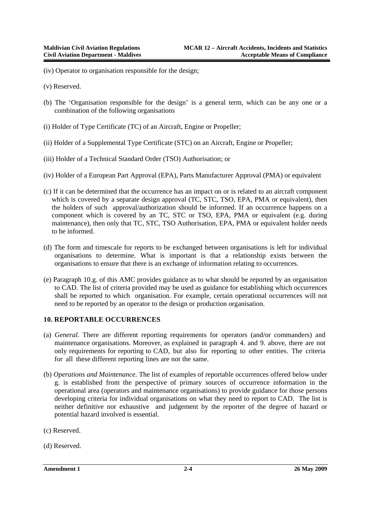- (iv) Operator to organisation responsible for the design;
- (v) Reserved.
- (b) The 'Organisation responsible for the design' is a general term, which can be any one or a combination of the following organisations
- (i) Holder of Type Certificate (TC) of an Aircraft, Engine or Propeller;
- (ii) Holder of a Supplemental Type Certificate (STC) on an Aircraft, Engine or Propeller;
- (iii) Holder of a Technical Standard Order (TSO) Authorisation; or
- (iv) Holder of a European Part Approval (EPA), Parts Manufacturer Approval (PMA) or equivalent
- (c) If it can be determined that the occurrence has an impact on or is related to an aircraft component which is covered by a separate design approval (TC, STC, TSO, EPA, PMA or equivalent), then the holders of such approval/authorization should be informed. If an occurrence happens on a component which is covered by an TC, STC or TSO, EPA, PMA or equivalent (e.g. during maintenance), then only that TC, STC, TSO Authorisation, EPA, PMA or equivalent holder needs to be informed.
- (d) The form and timescale for reports to be exchanged between organisations is left for individual organisations to determine. What is important is that a relationship exists between the organisations to ensure that there is an exchange of information relating to occurrences.
- (e) Paragraph 10.g. of this AMC provides guidance as to what should be reported by an organisation to CAD. The list of criteria provided may be used as guidance for establishing which occurrences shall be reported to which organisation. For example, certain operational occurrences will not need to be reported by an operator to the design or production organisation.

#### **10. REPORTABLE OCCURRENCES**

- (a) *General*. There are different reporting requirements for operators (and/or commanders) and maintenance organisations. Moreover, as explained in paragraph 4. and 9. above, there are not only requirements for reporting to CAD, but also for reporting to other entities. The criteria for all these different reporting lines are not the same.
- (b) *Operations and Maintenance.* The list of examples of reportable occurrences offered below under g. is established from the perspective of primary sources of occurrence information in the operational area (operators and maintenance organisations) to provide guidance for those persons developing criteria for individual organisations on what they need to report to CAD. The list is neither definitive nor exhaustive and judgement by the reporter of the degree of hazard or potential hazard involved is essential.
- (c) Reserved.
- (d) Reserved.

**Amendment 1 2-4 26 May 2009**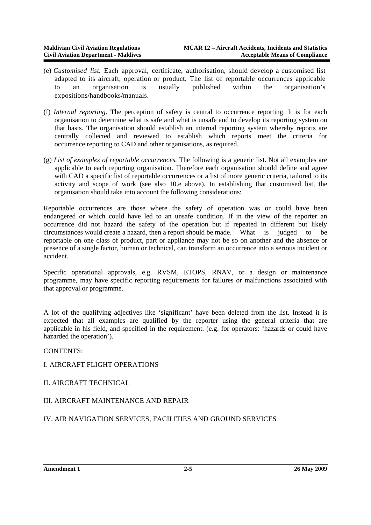- (e) *Customised list.* Each approval, certificate, authorisation, should develop a customised list adapted to its aircraft, operation or product. The list of reportable occurrences applicable to an organisation is usually published within the organisation's expositions/handbooks/manuals.
- (f) *Internal reporting*. The perception of safety is central to occurrence reporting. It is for each organisation to determine what is safe and what is unsafe and to develop its reporting system on that basis. The organisation should establish an internal reporting system whereby reports are centrally collected and reviewed to establish which reports meet the criteria for occurrence reporting to CAD and other organisations, as required.
- (g) *List of examples of reportable occurrences.* The following is a generic list. Not all examples are applicable to each reporting organisation. Therefore each organisation should define and agree with CAD a specific list of reportable occurrences or a list of more generic criteria, tailored to its activity and scope of work (see also 10.e above). In establishing that customised list, the organisation should take into account the following considerations:

Reportable occurrences are those where the safety of operation was or could have been endangered or which could have led to an unsafe condition. If in the view of the reporter an occurrence did not hazard the safety of the operation but if repeated in different but likely circumstances would create a hazard, then a report should be made. What is judged to be reportable on one class of product, part or appliance may not be so on another and the absence or presence of a single factor, human or technical, can transform an occurrence into a serious incident or accident.

Specific operational approvals, e.g. RVSM, ETOPS, RNAV, or a design or maintenance programme, may have specific reporting requirements for failures or malfunctions associated with that approval or programme.

A lot of the qualifying adjectives like 'significant' have been deleted from the list. Instead it is expected that all examples are qualified by the reporter using the general criteria that are applicable in his field, and specified in the requirement. (e.g. for operators: 'hazards or could have hazarded the operation').

#### CONTENTS:

### I. AIRCRAFT FLIGHT OPERATIONS

II. AIRCRAFT TECHNICAL

### III. AIRCRAFT MAINTENANCE AND REPAIR

### IV. AIR NAVIGATION SERVICES, FACILITIES AND GROUND SERVICES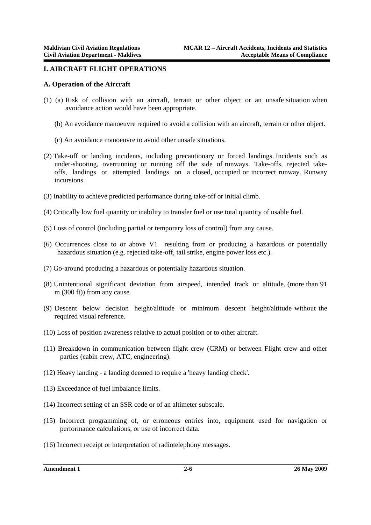#### **I. AIRCRAFT FLIGHT OPERATIONS**

#### **A. Operation of the Aircraft**

- (1) (a) Risk of collision with an aircraft, terrain or other object or an unsafe situation when avoidance action would have been appropriate.
	- (b) An avoidance manoeuvre required to avoid a collision with an aircraft, terrain or other object.
	- (c) An avoidance manoeuvre to avoid other unsafe situations.
- (2) Take-off or landing incidents, including precautionary or forced landings. Incidents such as under-shooting, overrunning or running off the side of runways. Take-offs, rejected takeoffs, landings or attempted landings on a closed, occupied or incorrect runway. Runway incursions.
- (3) Inability to achieve predicted performance during take-off or initial climb.
- (4) Critically low fuel quantity or inability to transfer fuel or use total quantity of usable fuel.
- (5) Loss of control (including partial or temporary loss of control) from any cause.
- (6) Occurrences close to or above V1 resulting from or producing a hazardous or potentially hazardous situation (e.g. rejected take-off, tail strike, engine power loss etc.).
- (7) Go-around producing a hazardous or potentially hazardous situation.
- (8) Unintentional significant deviation from airspeed, intended track or altitude. (more than 91 m (300 ft)) from any cause.
- (9) Descent below decision height/altitude or minimum descent height/altitude without the required visual reference.
- (10) Loss of position awareness relative to actual position or to other aircraft.
- (11) Breakdown in communication between flight crew (CRM) or between Flight crew and other parties (cabin crew, ATC, engineering).
- (12) Heavy landing a landing deemed to require a 'heavy landing check'.
- (13) Exceedance of fuel imbalance limits.
- (14) Incorrect setting of an SSR code or of an altimeter subscale.
- (15) Incorrect programming of, or erroneous entries into, equipment used for navigation or performance calculations, or use of incorrect data.
- (16) Incorrect receipt or interpretation of radiotelephony messages.

**Amendment 1 2-6 26 May 2009**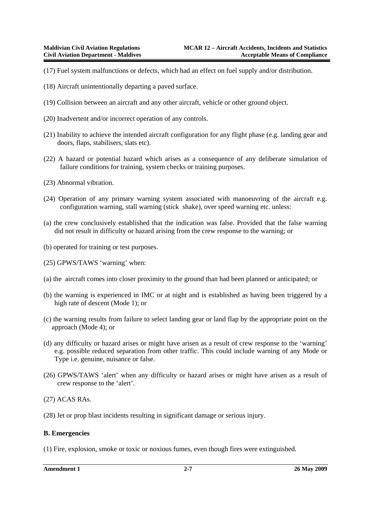- (17) Fuel system malfunctions or defects, which had an effect on fuel supply and/or distribution.
- (18) Aircraft unintentionally departing a paved surface.
- (19) Collision between an aircraft and any other aircraft, vehicle or other ground object.
- (20) Inadvertent and/or incorrect operation of any controls.
- (21) Inability to achieve the intended aircraft configuration for any flight phase (e.g. landing gear and doors, flaps, stabilisers, slats etc).
- (22) A hazard or potential hazard which arises as a consequence of any deliberate simulation of failure conditions for training, system checks or training purposes.
- (23) Abnormal vibration.
- (24) Operation of any primary warning system associated with manoeuvring of the aircraft e.g. configuration warning, stall warning (stick shake), over speed warning etc. unless:
- (a) the crew conclusively established that the indication was false. Provided that the false warning did not result in difficulty or hazard arising from the crew response to the warning; or
- (b) operated for training or test purposes.
- (25) GPWS/TAWS 'warning' when:
- (a) the aircraft comes into closer proximity to the ground than had been planned or anticipated; or
- (b) the warning is experienced in IMC or at night and is established as having been triggered by a high rate of descent (Mode 1); or
- (c) the warning results from failure to select landing gear or land flap by the appropriate point on the approach (Mode 4); or
- (d) any difficulty or hazard arises or might have arisen as a result of crew response to the 'warning' e.g. possible reduced separation from other traffic. This could include warning of any Mode or Type i.e. genuine, nuisance or false.
- (26) GPWS/TAWS 'alert' when any difficulty or hazard arises or might have arisen as a result of crew response to the 'alert'.
- (27) ACAS RAs.
- (28) Jet or prop blast incidents resulting in significant damage or serious injury.

#### **B. Emergencies**

(1) Fire, explosion, smoke or toxic or noxious fumes, even though fires were extinguished.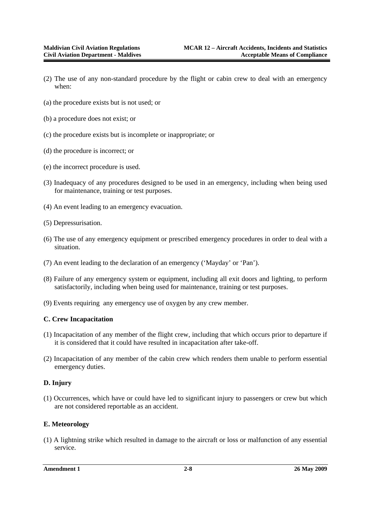- (2) The use of any non-standard procedure by the flight or cabin crew to deal with an emergency when:
- (a) the procedure exists but is not used; or
- (b) a procedure does not exist; or
- (c) the procedure exists but is incomplete or inappropriate; or
- (d) the procedure is incorrect; or
- (e) the incorrect procedure is used.
- (3) Inadequacy of any procedures designed to be used in an emergency, including when being used for maintenance, training or test purposes.
- (4) An event leading to an emergency evacuation.
- (5) Depressurisation.
- (6) The use of any emergency equipment or prescribed emergency procedures in order to deal with a situation.
- (7) An event leading to the declaration of an emergency ('Mayday' or 'Pan').
- (8) Failure of any emergency system or equipment, including all exit doors and lighting, to perform satisfactorily, including when being used for maintenance, training or test purposes.
- (9) Events requiring any emergency use of oxygen by any crew member.

#### **C. Crew Incapacitation**

- (1) Incapacitation of any member of the flight crew, including that which occurs prior to departure if it is considered that it could have resulted in incapacitation after take-off.
- (2) Incapacitation of any member of the cabin crew which renders them unable to perform essential emergency duties.

#### **D. Injury**

(1) Occurrences, which have or could have led to significant injury to passengers or crew but which are not considered reportable as an accident.

#### **E. Meteorology**

(1) A lightning strike which resulted in damage to the aircraft or loss or malfunction of any essential service.

**Amendment 1 2-8 26 May 2009**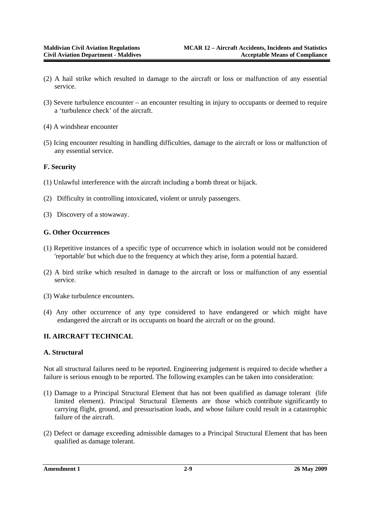- (2) A hail strike which resulted in damage to the aircraft or loss or malfunction of any essential service.
- (3) Severe turbulence encounter an encounter resulting in injury to occupants or deemed to require a 'turbulence check' of the aircraft.
- (4) A windshear encounter
- (5) Icing encounter resulting in handling difficulties, damage to the aircraft or loss or malfunction of any essential service.

#### **F. Security**

- (1) Unlawful interference with the aircraft including a bomb threat or hijack.
- (2) Difficulty in controlling intoxicated, violent or unruly passengers.
- (3) Discovery of a stowaway.

#### **G. Other Occurrences**

- (1) Repetitive instances of a specific type of occurrence which in isolation would not be considered 'reportable' but which due to the frequency at which they arise, form a potential hazard.
- (2) A bird strike which resulted in damage to the aircraft or loss or malfunction of any essential service.
- (3) Wake turbulence encounters.
- (4) Any other occurrence of any type considered to have endangered or which might have endangered the aircraft or its occupants on board the aircraft or on the ground.

#### **II. AIRCRAFT TECHNICAL**

#### **A. Structural**

Not all structural failures need to be reported. Engineering judgement is required to decide whether a failure is serious enough to be reported. The following examples can be taken into consideration:

- (1) Damage to a Principal Structural Element that has not been qualified as damage tolerant (life limited element). Principal Structural Elements are those which contribute significantly to carrying flight, ground, and pressurisation loads, and whose failure could result in a catastrophic failure of the aircraft.
- (2) Defect or damage exceeding admissible damages to a Principal Structural Element that has been qualified as damage tolerant.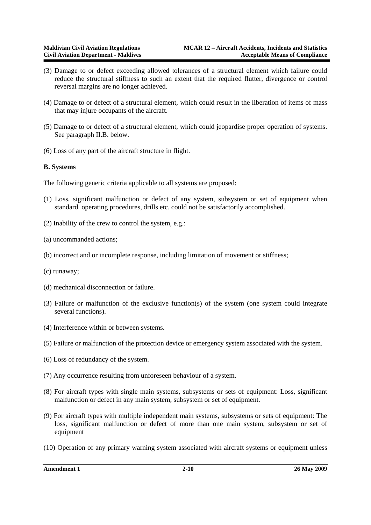- (3) Damage to or defect exceeding allowed tolerances of a structural element which failure could reduce the structural stiffness to such an extent that the required flutter, divergence or control reversal margins are no longer achieved.
- (4) Damage to or defect of a structural element, which could result in the liberation of items of mass that may injure occupants of the aircraft.
- (5) Damage to or defect of a structural element, which could jeopardise proper operation of systems. See paragraph II.B. below.
- (6) Loss of any part of the aircraft structure in flight.

#### **B. Systems**

The following generic criteria applicable to all systems are proposed:

- (1) Loss, significant malfunction or defect of any system, subsystem or set of equipment when standard operating procedures, drills etc. could not be satisfactorily accomplished.
- (2) Inability of the crew to control the system, e.g.:
- (a) uncommanded actions;
- (b) incorrect and or incomplete response, including limitation of movement or stiffness;
- (c) runaway;
- (d) mechanical disconnection or failure.
- (3) Failure or malfunction of the exclusive function(s) of the system (one system could integrate several functions).
- (4) Interference within or between systems.
- (5) Failure or malfunction of the protection device or emergency system associated with the system.
- (6) Loss of redundancy of the system.
- (7) Any occurrence resulting from unforeseen behaviour of a system.
- (8) For aircraft types with single main systems, subsystems or sets of equipment: Loss, significant malfunction or defect in any main system, subsystem or set of equipment.
- (9) For aircraft types with multiple independent main systems, subsystems or sets of equipment: The loss, significant malfunction or defect of more than one main system, subsystem or set of equipment
- (10) Operation of any primary warning system associated with aircraft systems or equipment unless

**Amendment 1 2-10 26 May 2009**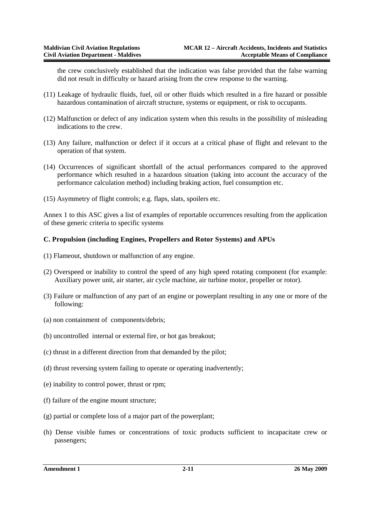the crew conclusively established that the indication was false provided that the false warning did not result in difficulty or hazard arising from the crew response to the warning.

- (11) Leakage of hydraulic fluids, fuel, oil or other fluids which resulted in a fire hazard or possible hazardous contamination of aircraft structure, systems or equipment, or risk to occupants.
- (12) Malfunction or defect of any indication system when this results in the possibility of misleading indications to the crew.
- (13) Any failure, malfunction or defect if it occurs at a critical phase of flight and relevant to the operation of that system.
- (14) Occurrences of significant shortfall of the actual performances compared to the approved performance which resulted in a hazardous situation (taking into account the accuracy of the performance calculation method) including braking action, fuel consumption etc.
- (15) Asymmetry of flight controls; e.g. flaps, slats, spoilers etc.

Annex 1 to this ASC gives a list of examples of reportable occurrences resulting from the application of these generic criteria to specific systems

#### **C. Propulsion (including Engines, Propellers and Rotor Systems) and APUs**

- (1) Flameout, shutdown or malfunction of any engine.
- (2) Overspeed or inability to control the speed of any high speed rotating component (for example: Auxiliary power unit, air starter, air cycle machine, air turbine motor, propeller or rotor).
- (3) Failure or malfunction of any part of an engine or powerplant resulting in any one or more of the following:
- (a) non containment of components/debris;
- (b) uncontrolled internal or external fire, or hot gas breakout;
- (c) thrust in a different direction from that demanded by the pilot;
- (d) thrust reversing system failing to operate or operating inadvertently;
- (e) inability to control power, thrust or rpm;
- (f) failure of the engine mount structure;
- (g) partial or complete loss of a major part of the powerplant;
- (h) Dense visible fumes or concentrations of toxic products sufficient to incapacitate crew or passengers;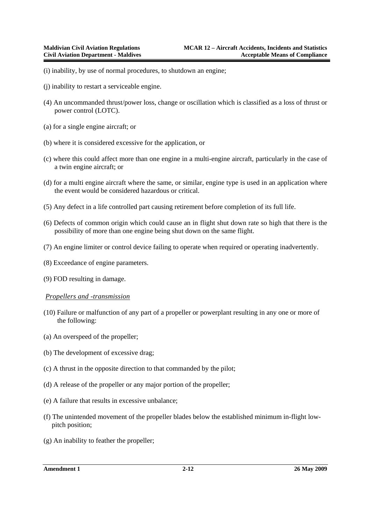- (i) inability, by use of normal procedures, to shutdown an engine;
- (j) inability to restart a serviceable engine.
- (4) An uncommanded thrust/power loss, change or oscillation which is classified as a loss of thrust or power control (LOTC).
- (a) for a single engine aircraft; or
- (b) where it is considered excessive for the application, or
- (c) where this could affect more than one engine in a multi-engine aircraft, particularly in the case of a twin engine aircraft; or
- (d) for a multi engine aircraft where the same, or similar, engine type is used in an application where the event would be considered hazardous or critical.
- (5) Any defect in a life controlled part causing retirement before completion of its full life.
- (6) Defects of common origin which could cause an in flight shut down rate so high that there is the possibility of more than one engine being shut down on the same flight.
- (7) An engine limiter or control device failing to operate when required or operating inadvertently.
- (8) Exceedance of engine parameters.
- (9) FOD resulting in damage.

#### *Propellers and -transmission*

- (10) Failure or malfunction of any part of a propeller or powerplant resulting in any one or more of the following:
- (a) An overspeed of the propeller;
- (b) The development of excessive drag;
- (c) A thrust in the opposite direction to that commanded by the pilot;
- (d) A release of the propeller or any major portion of the propeller;
- (e) A failure that results in excessive unbalance;
- (f) The unintended movement of the propeller blades below the established minimum in-flight lowpitch position;
- (g) An inability to feather the propeller;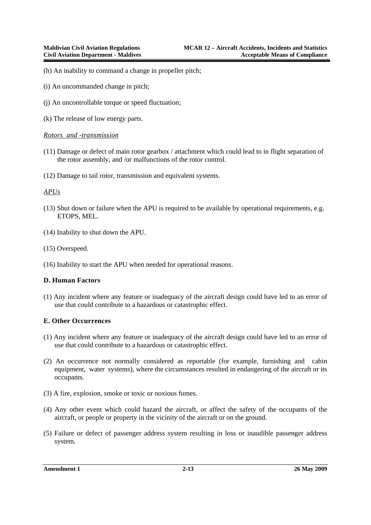- (h) An inability to command a change in propeller pitch;
- (i) An uncommanded change in pitch;
- (j) An uncontrollable torque or speed fluctuation;
- (k) The release of low energy parts.

#### *Rotors and -transmission*

- (11) Damage or defect of main rotor gearbox / attachment which could lead to in flight separation of the rotor assembly, and /or malfunctions of the rotor control.
- (12) Damage to tail rotor, transmission and equivalent systems.

#### *APUs*

- (13) Shut down or failure when the APU is required to be available by operational requirements, e.g. ETOPS, MEL.
- (14) Inability to shut down the APU.
- (15) Overspeed.
- (16) Inability to start the APU when needed for operational reasons.

#### **D. Human Factors**

(1) Any incident where any feature or inadequacy of the aircraft design could have led to an error of use that could contribute to a hazardous or catastrophic effect.

#### **E. Other Occurrences**

- (1) Any incident where any feature or inadequacy of the aircraft design could have led to an error of use that could contribute to a hazardous or catastrophic effect.
- (2) An occurrence not normally considered as reportable (for example, furnishing and cabin equipment, water systems), where the circumstances resulted in endangering of the aircraft or its occupants.
- (3) A fire, explosion, smoke or toxic or noxious fumes.
- (4) Any other event which could hazard the aircraft, or affect the safety of the occupants of the aircraft, or people or property in the vicinity of the aircraft or on the ground.
- (5) Failure or defect of passenger address system resulting in loss or inaudible passenger address system.

**Amendment 1 2-13 26 May 2009**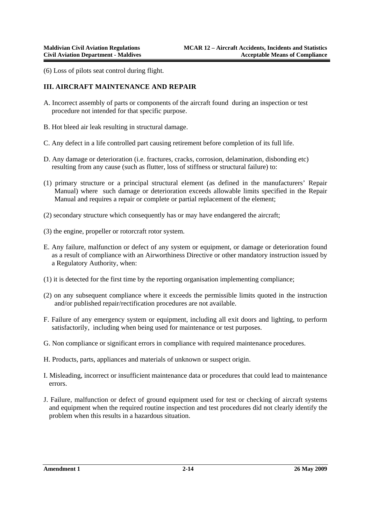(6) Loss of pilots seat control during flight.

#### **III. AIRCRAFT MAINTENANCE AND REPAIR**

- A. Incorrect assembly of parts or components of the aircraft found during an inspection or test procedure not intended for that specific purpose.
- B. Hot bleed air leak resulting in structural damage.
- C. Any defect in a life controlled part causing retirement before completion of its full life.
- D. Any damage or deterioration (i.e. fractures, cracks, corrosion, delamination, disbonding etc) resulting from any cause (such as flutter, loss of stiffness or structural failure) to:
- (1) primary structure or a principal structural element (as defined in the manufacturers' Repair Manual) where such damage or deterioration exceeds allowable limits specified in the Repair Manual and requires a repair or complete or partial replacement of the element;
- (2) secondary structure which consequently has or may have endangered the aircraft;
- (3) the engine, propeller or rotorcraft rotor system.
- E. Any failure, malfunction or defect of any system or equipment, or damage or deterioration found as a result of compliance with an Airworthiness Directive or other mandatory instruction issued by a Regulatory Authority, when:
- (1) it is detected for the first time by the reporting organisation implementing compliance;
- (2) on any subsequent compliance where it exceeds the permissible limits quoted in the instruction and/or published repair/rectification procedures are not available.
- F. Failure of any emergency system or equipment, including all exit doors and lighting, to perform satisfactorily, including when being used for maintenance or test purposes.
- G. Non compliance or significant errors in compliance with required maintenance procedures.
- H. Products, parts, appliances and materials of unknown or suspect origin.
- I. Misleading, incorrect or insufficient maintenance data or procedures that could lead to maintenance errors.
- J. Failure, malfunction or defect of ground equipment used for test or checking of aircraft systems and equipment when the required routine inspection and test procedures did not clearly identify the problem when this results in a hazardous situation.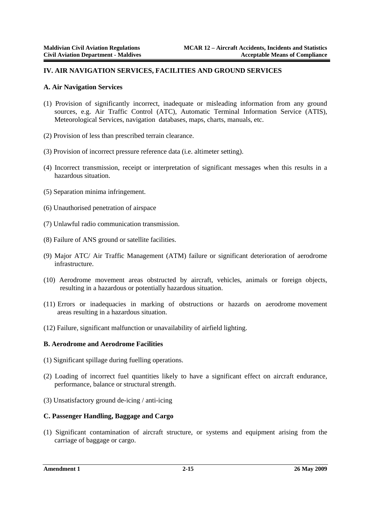#### **IV. AIR NAVIGATION SERVICES, FACILITIES AND GROUND SERVICES**

#### **A. Air Navigation Services**

- (1) Provision of significantly incorrect, inadequate or misleading information from any ground sources, e.g. Air Traffic Control (ATC), Automatic Terminal Information Service (ATIS), Meteorological Services, navigation databases, maps, charts, manuals, etc.
- (2) Provision of less than prescribed terrain clearance.
- (3) Provision of incorrect pressure reference data (i.e. altimeter setting).
- (4) Incorrect transmission, receipt or interpretation of significant messages when this results in a hazardous situation.
- (5) Separation minima infringement.
- (6) Unauthorised penetration of airspace
- (7) Unlawful radio communication transmission.
- (8) Failure of ANS ground or satellite facilities.
- (9) Major ATC/ Air Traffic Management (ATM) failure or significant deterioration of aerodrome infrastructure.
- (10) Aerodrome movement areas obstructed by aircraft, vehicles, animals or foreign objects, resulting in a hazardous or potentially hazardous situation.
- (11) Errors or inadequacies in marking of obstructions or hazards on aerodrome movement areas resulting in a hazardous situation.
- (12) Failure, significant malfunction or unavailability of airfield lighting.

#### **B. Aerodrome and Aerodrome Facilities**

- (1) Significant spillage during fuelling operations.
- (2) Loading of incorrect fuel quantities likely to have a significant effect on aircraft endurance, performance, balance or structural strength.
- (3) Unsatisfactory ground de-icing / anti-icing

#### **C. Passenger Handling, Baggage and Cargo**

(1) Significant contamination of aircraft structure, or systems and equipment arising from the carriage of baggage or cargo.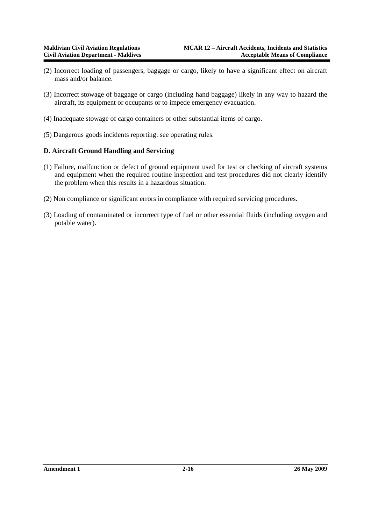- (2) Incorrect loading of passengers, baggage or cargo, likely to have a significant effect on aircraft mass and/or balance.
- (3) Incorrect stowage of baggage or cargo (including hand baggage) likely in any way to hazard the aircraft, its equipment or occupants or to impede emergency evacuation.
- (4) Inadequate stowage of cargo containers or other substantial items of cargo.
- (5) Dangerous goods incidents reporting: see operating rules.

#### **D. Aircraft Ground Handling and Servicing**

- (1) Failure, malfunction or defect of ground equipment used for test or checking of aircraft systems and equipment when the required routine inspection and test procedures did not clearly identify the problem when this results in a hazardous situation.
- (2) Non compliance or significant errors in compliance with required servicing procedures.
- (3) Loading of contaminated or incorrect type of fuel or other essential fluids (including oxygen and potable water).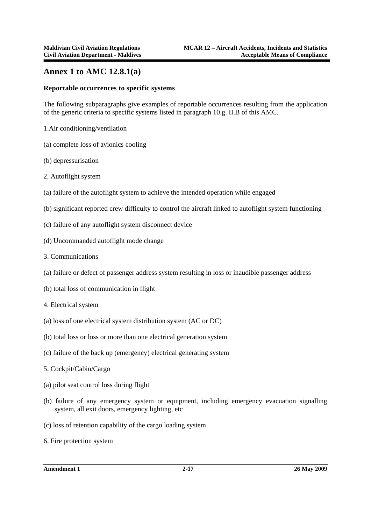# **Annex 1 to AMC 12.8.1(a)**

#### **Reportable occurrences to specific systems**

The following subparagraphs give examples of reportable occurrences resulting from the application of the generic criteria to specific systems listed in paragraph 10.g. II.B of this AMC.

- 1.Air conditioning/ventilation
- (a) complete loss of avionics cooling
- (b) depressurisation
- 2. Autoflight system
- (a) failure of the autoflight system to achieve the intended operation while engaged
- (b) significant reported crew difficulty to control the aircraft linked to autoflight system functioning
- (c) failure of any autoflight system disconnect device
- (d) Uncommanded autoflight mode change
- 3. Communications
- (a) failure or defect of passenger address system resulting in loss or inaudible passenger address
- (b) total loss of communication in flight
- 4. Electrical system
- (a) loss of one electrical system distribution system (AC or DC)
- (b) total loss or loss or more than one electrical generation system
- (c) failure of the back up (emergency) electrical generating system
- 5. Cockpit/Cabin/Cargo
- (a) pilot seat control loss during flight
- (b) failure of any emergency system or equipment, including emergency evacuation signalling system, all exit doors, emergency lighting, etc
- (c) loss of retention capability of the cargo loading system
- 6. Fire protection system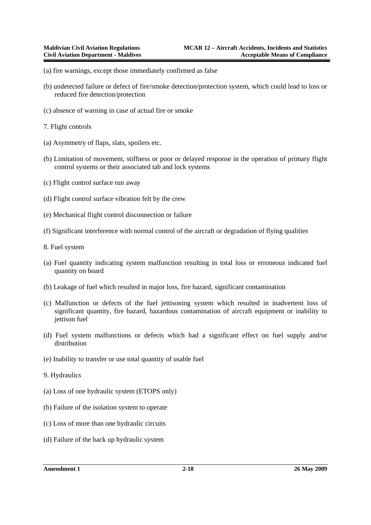- (a) fire warnings, except those immediately confirmed as false
- (b) undetected failure or defect of fire/smoke detection/protection system, which could lead to loss or reduced fire detection/protection
- (c) absence of warning in case of actual fire or smoke
- 7. Flight controls
- (a) Asymmetry of flaps, slats, spoilers etc.
- (b) Limitation of movement, stiffness or poor or delayed response in the operation of primary flight control systems or their associated tab and lock systems
- (c) Flight control surface run away
- (d) Flight control surface vibration felt by the crew
- (e) Mechanical flight control disconnection or failure
- (f) Significant interference with normal control of the aircraft or degradation of flying qualities
- 8. Fuel system
- (a) Fuel quantity indicating system malfunction resulting in total loss or erroneous indicated fuel quantity on board
- (b) Leakage of fuel which resulted in major loss, fire hazard, significant contamination
- (c) Malfunction or defects of the fuel jettisoning system which resulted in inadvertent loss of significant quantity, fire hazard, hazardous contamination of aircraft equipment or inability to jettison fuel
- (d) Fuel system malfunctions or defects which had a significant effect on fuel supply and/or distribution
- (e) Inability to transfer or use total quantity of usable fuel
- 9. Hydraulics
- (a) Loss of one hydraulic system (ETOPS only)
- (b) Failure of the isolation system to operate
- (c) Loss of more than one hydraulic circuits
- (d) Failure of the back up hydraulic system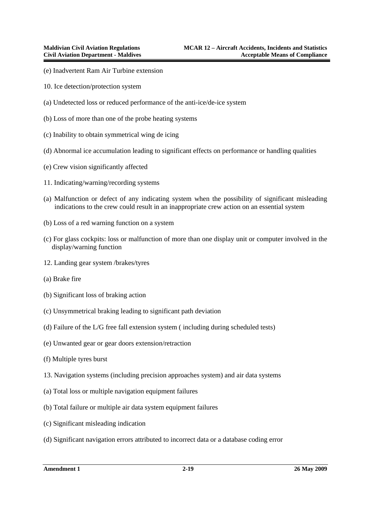- (e) Inadvertent Ram Air Turbine extension
- 10. Ice detection/protection system
- (a) Undetected loss or reduced performance of the anti-ice/de-ice system
- (b) Loss of more than one of the probe heating systems
- (c) Inability to obtain symmetrical wing de icing
- (d) Abnormal ice accumulation leading to significant effects on performance or handling qualities
- (e) Crew vision significantly affected
- 11. Indicating/warning/recording systems
- (a) Malfunction or defect of any indicating system when the possibility of significant misleading indications to the crew could result in an inappropriate crew action on an essential system
- (b) Loss of a red warning function on a system
- (c) For glass cockpits: loss or malfunction of more than one display unit or computer involved in the display/warning function
- 12. Landing gear system /brakes/tyres
- (a) Brake fire
- (b) Significant loss of braking action
- (c) Unsymmetrical braking leading to significant path deviation
- (d) Failure of the L/G free fall extension system ( including during scheduled tests)
- (e) Unwanted gear or gear doors extension/retraction
- (f) Multiple tyres burst
- 13. Navigation systems (including precision approaches system) and air data systems
- (a) Total loss or multiple navigation equipment failures
- (b) Total failure or multiple air data system equipment failures
- (c) Significant misleading indication
- (d) Significant navigation errors attributed to incorrect data or a database coding error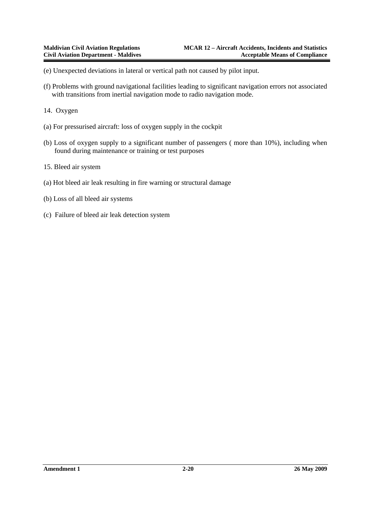(e) Unexpected deviations in lateral or vertical path not caused by pilot input.

- (f) Problems with ground navigational facilities leading to significant navigation errors not associated with transitions from inertial navigation mode to radio navigation mode.
- 14. Oxygen
- (a) For pressurised aircraft: loss of oxygen supply in the cockpit
- (b) Loss of oxygen supply to a significant number of passengers ( more than 10%), including when found during maintenance or training or test purposes
- 15. Bleed air system
- (a) Hot bleed air leak resulting in fire warning or structural damage
- (b) Loss of all bleed air systems
- (c) Failure of bleed air leak detection system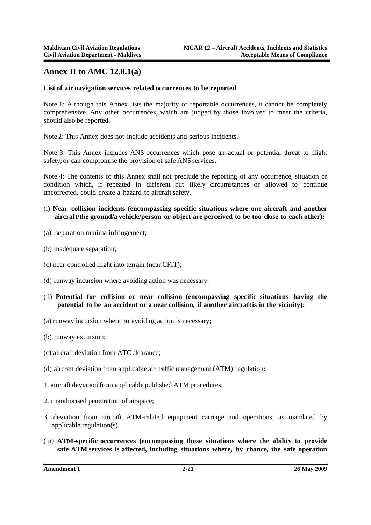# **Annex II to AMC 12.8.1(a)**

#### **List of air navigation services related occurrences to be reported**

Note 1: Although this Annex lists the majority of reportable occurrences, it cannot be completely comprehensive. Any other occurrences, which are judged by those involved to meet the criteria, should also be reported.

Note 2: This Annex does not include accidents and serious incidents.

Note 3: This Annex includes ANS occurrences which pose an actual or potential threat to flight safety, or can compromise the provision of safe ANS services.

Note 4: The contents of this Annex shall not preclude the reporting of any occurrence, situation or condition which, if repeated in different but likely circumstances or allowed to continue uncorrected, could create a hazard to aircraft safety.

- (i) **Near collision incidents (encompassing specific situations where one aircraft and another aircraft/the ground/a vehicle/person or object are perceived to be too close to each other):**
- (a) separation minima infringement;
- (b) inadequate separation;
- (c) near-controlled flight into terrain (near CFIT);
- (d) runway incursion where avoiding action was necessary.
- (ii) **Potential for collision or near collision (encompassing specific situations having the**  potential to be an accident or a near collision, if another aircraft is in the vicinity):
- (a) runway incursion where no avoiding action is necessary;
- (b) runway excursion;
- (c) aircraft deviation from ATC clearance;
- (d) aircraft deviation from applicable air traffic management (ATM) regulation:
- 1. aircraft deviation from applicable published ATM procedures;
- 2. unauthorised penetration of airspace;
- 3. deviation from aircraft ATM-related equipment carriage and operations, as mandated by applicable regulation(s).
- (iii) **ATM-specific occurrences (encompassing those situations where the ability to provide safe ATM services is affected, including situations where, by chance, the safe operation**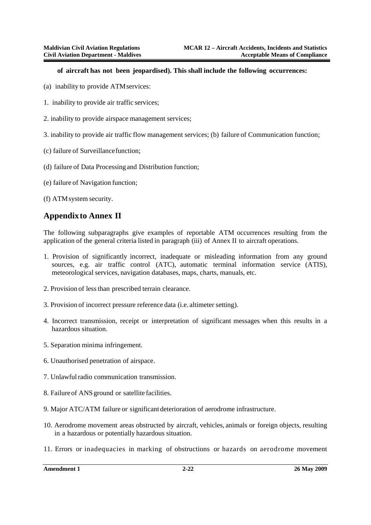#### **of aircraft has not been jeopardised). This shall include the following occurrences:**

- (a) inability to provide ATM services:
- 1. inability to provide air traffic services;
- 2. inability to provide airspace management services;
- 3. inability to provide air traffic flow management services; (b) failure of Communication function;
- (c) failure of Surveillance function;
- (d) failure of Data Processing and Distribution function;
- (e) failure of Navigation function;
- (f) ATM system security.

### **Appendix to Annex II**

The following subparagraphs give examples of reportable ATM occurrences resulting from the application of the general criteria listed in paragraph (iii) of Annex II to aircraft operations.

- 1. Provision of significantly incorrect, inadequate or misleading information from any ground sources, e.g. air traffic control (ATC), automatic terminal information service (ATIS), meteorological services, navigation databases, maps, charts, manuals, etc.
- 2. Provision of less than prescribed terrain clearance.
- 3. Provision of incorrect pressure reference data (i.e. altimeter setting).
- 4. Incorrect transmission, receipt or interpretation of significant messages when this results in a hazardous situation.
- 5. Separation minima infringement.
- 6. Unauthorised penetration of airspace.
- 7. Unlawful radio communication transmission.
- 8. Failure of ANS ground or satellite facilities.
- 9. Major ATC/ATM failure or significant deterioration of aerodrome infrastructure.
- 10. Aerodrome movement areas obstructed by aircraft, vehicles, animals or foreign objects, resulting in a hazardous or potentially hazardous situation.
- 11. Errors or inadequacies in marking of obstructions or hazards on aerodrome movement

**Amendment 1 2-22 26 May 2009**